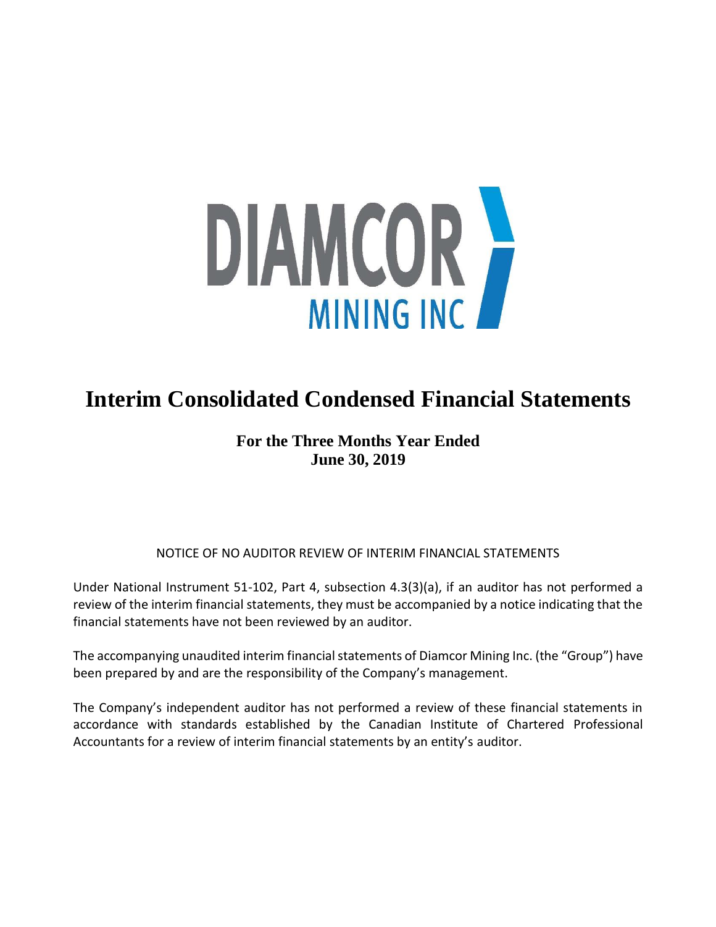

# **Interim Consolidated Condensed Financial Statements**

# **For the Three Months Year Ended June 30, 2019**

## NOTICE OF NO AUDITOR REVIEW OF INTERIM FINANCIAL STATEMENTS

Under National Instrument 51-102, Part 4, subsection 4.3(3)(a), if an auditor has not performed a review of the interim financial statements, they must be accompanied by a notice indicating that the financial statements have not been reviewed by an auditor.

The accompanying unaudited interim financial statements of Diamcor Mining Inc. (the "Group") have been prepared by and are the responsibility of the Company's management.

The Company's independent auditor has not performed a review of these financial statements in accordance with standards established by the Canadian Institute of Chartered Professional Accountants for a review of interim financial statements by an entity's auditor.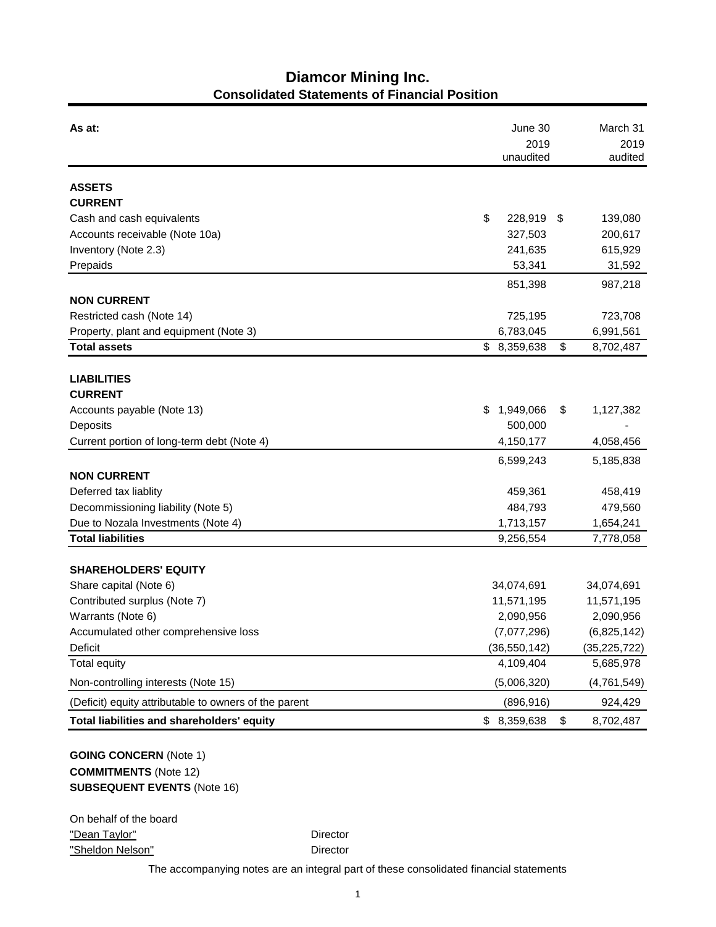# **Diamcor Mining Inc. Consolidated Statements of Financial Position**

| As at:                                                |    | June 30           | March 31        |
|-------------------------------------------------------|----|-------------------|-----------------|
|                                                       |    | 2019<br>unaudited | 2019<br>audited |
|                                                       |    |                   |                 |
| <b>ASSETS</b>                                         |    |                   |                 |
| <b>CURRENT</b>                                        |    |                   |                 |
| Cash and cash equivalents                             | \$ | 228,919           | \$<br>139,080   |
| Accounts receivable (Note 10a)                        |    | 327,503           | 200,617         |
| Inventory (Note 2.3)                                  |    | 241,635           | 615,929         |
| Prepaids                                              |    | 53,341            | 31,592          |
|                                                       |    | 851,398           | 987,218         |
| <b>NON CURRENT</b>                                    |    |                   |                 |
| Restricted cash (Note 14)                             |    | 725,195           | 723,708         |
| Property, plant and equipment (Note 3)                |    | 6,783,045         | 6,991,561       |
| <b>Total assets</b>                                   |    | \$8,359,638       | \$<br>8,702,487 |
|                                                       |    |                   |                 |
| <b>LIABILITIES</b>                                    |    |                   |                 |
| <b>CURRENT</b>                                        |    |                   |                 |
| Accounts payable (Note 13)                            | S. | 1,949,066         | \$<br>1,127,382 |
| Deposits                                              |    | 500,000           |                 |
| Current portion of long-term debt (Note 4)            |    | 4,150,177         | 4,058,456       |
|                                                       |    | 6,599,243         | 5,185,838       |
| <b>NON CURRENT</b>                                    |    |                   |                 |
| Deferred tax liablity                                 |    | 459,361           | 458,419         |
| Decommissioning liability (Note 5)                    |    | 484,793           | 479,560         |
| Due to Nozala Investments (Note 4)                    |    | 1,713,157         | 1,654,241       |
| <b>Total liabilities</b>                              |    | 9,256,554         | 7,778,058       |
| <b>SHAREHOLDERS' EQUITY</b>                           |    |                   |                 |
| Share capital (Note 6)                                |    | 34,074,691        | 34,074,691      |
| Contributed surplus (Note 7)                          |    | 11,571,195        | 11,571,195      |
| Warrants (Note 6)                                     |    | 2,090,956         | 2,090,956       |
| Accumulated other comprehensive loss                  |    | (7,077,296)       | (6,825,142)     |
| Deficit                                               |    | (36, 550, 142)    | (35, 225, 722)  |
| <b>Total equity</b>                                   |    | 4,109,404         | 5,685,978       |
| Non-controlling interests (Note 15)                   |    | (5,006,320)       | (4,761,549)     |
| (Deficit) equity attributable to owners of the parent |    | (896, 916)        | 924,429         |
| Total liabilities and shareholders' equity            |    | \$8,359,638       | \$<br>8,702,487 |
|                                                       |    |                   |                 |

### **GOING CONCERN** (Note 1) **COMMITMENTS** (Note 12) **SUBSEQUENT EVENTS** (Note 16)

On behalf of the board "Dean Taylor" **Director** Director "Sheldon Nelson" **Director** 

The accompanying notes are an integral part of these consolidated financial statements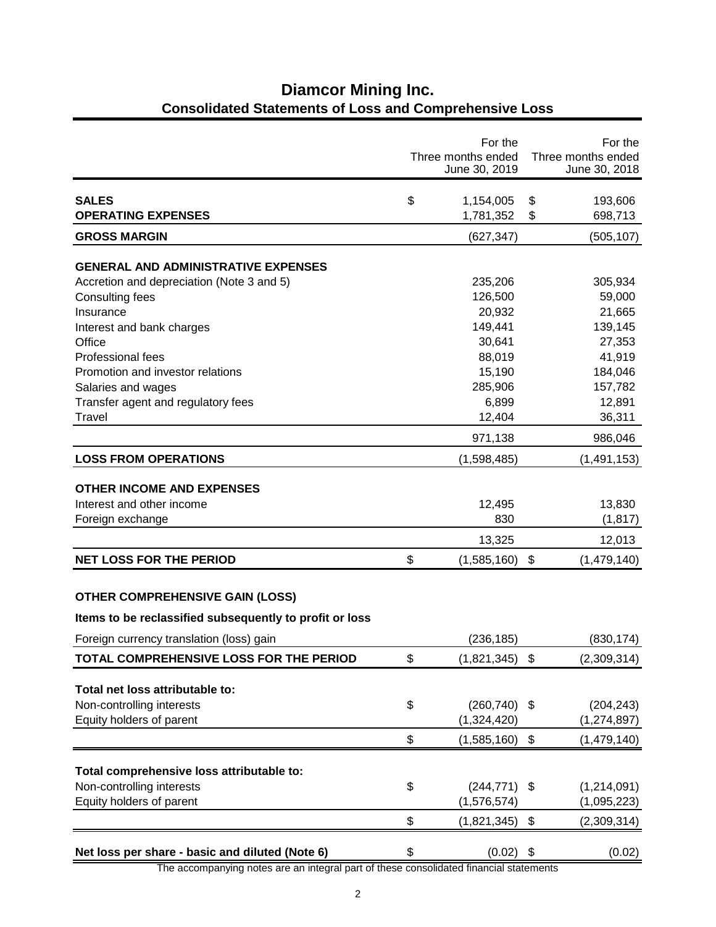|                                                         | For the<br>Three months ended<br>June 30, 2019 |                           | For the<br>Three months ended<br>June 30, 2018 |
|---------------------------------------------------------|------------------------------------------------|---------------------------|------------------------------------------------|
| <b>SALES</b><br><b>OPERATING EXPENSES</b>               | \$<br>1,154,005<br>1,781,352                   | \$<br>\$                  | 193,606<br>698,713                             |
| <b>GROSS MARGIN</b>                                     | (627, 347)                                     |                           | (505, 107)                                     |
| <b>GENERAL AND ADMINISTRATIVE EXPENSES</b>              |                                                |                           |                                                |
| Accretion and depreciation (Note 3 and 5)               | 235,206                                        |                           | 305,934                                        |
| Consulting fees                                         | 126,500                                        |                           | 59,000                                         |
| Insurance                                               | 20,932                                         |                           | 21,665                                         |
| Interest and bank charges                               | 149,441                                        |                           | 139,145                                        |
| Office                                                  | 30,641                                         |                           | 27,353                                         |
| <b>Professional fees</b>                                | 88,019                                         |                           | 41,919                                         |
| Promotion and investor relations                        | 15,190                                         |                           | 184,046                                        |
| Salaries and wages                                      | 285,906                                        |                           | 157,782                                        |
| Transfer agent and regulatory fees                      | 6,899                                          |                           | 12,891                                         |
| Travel                                                  | 12,404                                         |                           | 36,311                                         |
|                                                         | 971,138                                        |                           | 986,046                                        |
| <b>LOSS FROM OPERATIONS</b>                             | (1,598,485)                                    |                           | (1,491,153)                                    |
|                                                         |                                                |                           |                                                |
| <b>OTHER INCOME AND EXPENSES</b>                        |                                                |                           |                                                |
| Interest and other income                               | 12,495<br>830                                  |                           | 13,830                                         |
| Foreign exchange                                        |                                                |                           | (1, 817)                                       |
|                                                         | 13,325                                         |                           | 12,013                                         |
| <b>NET LOSS FOR THE PERIOD</b>                          | \$<br>(1,585,160)                              | \$                        | (1,479,140)                                    |
| <b>OTHER COMPREHENSIVE GAIN (LOSS)</b>                  |                                                |                           |                                                |
| Items to be reclassified subsequently to profit or loss |                                                |                           |                                                |
| Foreign currency translation (loss) gain                | (236, 185)                                     |                           | (830, 174)                                     |
| TOTAL COMPREHENSIVE LOSS FOR THE PERIOD                 | \$<br>(1,821,345)                              | $\boldsymbol{\mathsf{S}}$ | (2,309,314)                                    |
|                                                         |                                                |                           |                                                |
| Total net loss attributable to:                         |                                                |                           |                                                |
| Non-controlling interests                               | \$<br>(260, 740)                               | \$                        | (204, 243)                                     |
| Equity holders of parent                                | (1,324,420)                                    |                           | (1, 274, 897)                                  |
|                                                         | \$<br>(1,585,160)                              | \$                        | (1,479,140)                                    |
| Total comprehensive loss attributable to:               |                                                |                           |                                                |
| Non-controlling interests                               | \$<br>$(244, 771)$ \$                          |                           | (1, 214, 091)                                  |
| Equity holders of parent                                | (1, 576, 574)                                  |                           | (1,095,223)                                    |
|                                                         | \$<br>(1,821,345)                              | \$                        | (2,309,314)                                    |
|                                                         |                                                |                           |                                                |
| Net loss per share - basic and diluted (Note 6)         | \$<br>(0.02)                                   | \$                        | (0.02)                                         |

# **Diamcor Mining Inc. Consolidated Statements of Loss and Comprehensive Loss**

The accompanying notes are an integral part of these consolidated financial statements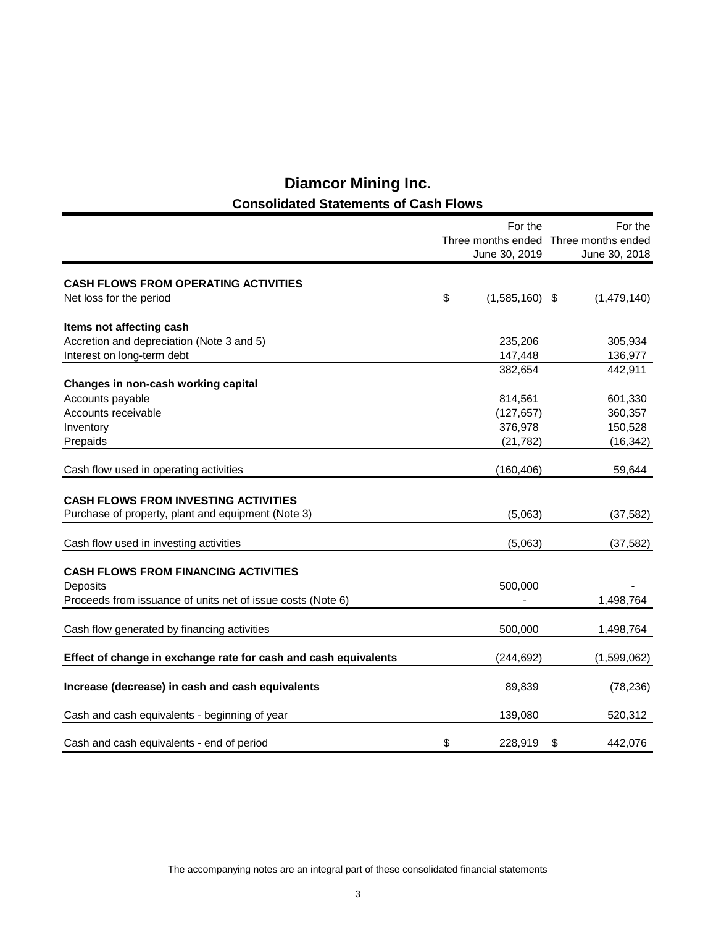# **Diamcor Mining Inc. Consolidated Statements of Cash Flows**

|                                                                 |    | For the          |                                       |
|-----------------------------------------------------------------|----|------------------|---------------------------------------|
|                                                                 |    |                  | Three months ended Three months ended |
|                                                                 |    | June 30, 2019    | June 30, 2018                         |
| <b>CASH FLOWS FROM OPERATING ACTIVITIES</b>                     |    |                  |                                       |
| Net loss for the period                                         | \$ | $(1,585,160)$ \$ | (1,479,140)                           |
|                                                                 |    |                  |                                       |
| Items not affecting cash                                        |    |                  |                                       |
| Accretion and depreciation (Note 3 and 5)                       |    | 235,206          | 305,934                               |
| Interest on long-term debt                                      |    | 147,448          | 136,977                               |
|                                                                 |    | 382,654          | 442,911                               |
| Changes in non-cash working capital                             |    |                  |                                       |
| Accounts payable                                                |    | 814,561          | 601,330                               |
| Accounts receivable                                             |    | (127, 657)       | 360,357                               |
| Inventory                                                       |    | 376,978          | 150,528                               |
| Prepaids                                                        |    | (21, 782)        | (16, 342)                             |
|                                                                 |    |                  |                                       |
| Cash flow used in operating activities                          |    | (160, 406)       | 59,644                                |
|                                                                 |    |                  |                                       |
| <b>CASH FLOWS FROM INVESTING ACTIVITIES</b>                     |    |                  |                                       |
| Purchase of property, plant and equipment (Note 3)              |    | (5,063)          | (37, 582)                             |
| Cash flow used in investing activities                          |    | (5,063)          | (37, 582)                             |
|                                                                 |    |                  |                                       |
| <b>CASH FLOWS FROM FINANCING ACTIVITIES</b>                     |    |                  |                                       |
| Deposits                                                        |    | 500,000          |                                       |
| Proceeds from issuance of units net of issue costs (Note 6)     |    |                  | 1,498,764                             |
|                                                                 |    |                  |                                       |
| Cash flow generated by financing activities                     |    | 500,000          | 1,498,764                             |
|                                                                 |    |                  |                                       |
| Effect of change in exchange rate for cash and cash equivalents |    | (244, 692)       | (1,599,062)                           |
| Increase (decrease) in cash and cash equivalents                |    | 89,839           | (78, 236)                             |
|                                                                 |    |                  |                                       |
| Cash and cash equivalents - beginning of year                   |    | 139,080          | 520,312                               |
| Cash and cash equivalents - end of period                       | \$ | 228,919          | \$<br>442,076                         |
|                                                                 |    |                  |                                       |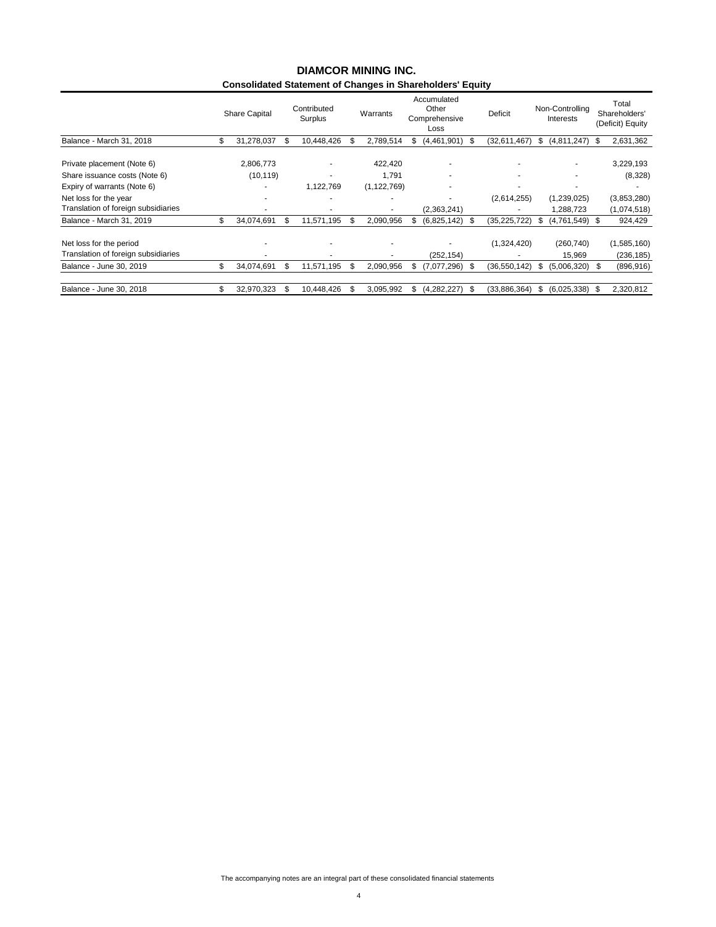#### **Consolidated Statement of Changes in Shareholders' Equity DIAMCOR MINING INC.**

|                        |                      | Surplus    |             |                  |          | Other<br>Loss |                              | Deficit             |    | Interests                     |                 | Total<br>Shareholders'<br>(Deficit) Equity |
|------------------------|----------------------|------------|-------------|------------------|----------|---------------|------------------------------|---------------------|----|-------------------------------|-----------------|--------------------------------------------|
| \$<br>31,278,037       |                      | 10.448.426 |             | 2.789.514        | æ.       |               | S                            | (32,611,467)        | S. | (4,811,247)                   | S               | 2,631,362                                  |
| 2.806.773<br>(10, 119) |                      |            |             | 422.420<br>1.791 |          |               |                              | ۰                   |    | ۰<br>$\overline{\phantom{a}}$ |                 | 3,229,193<br>(8,328)                       |
|                        |                      | 1,122,769  |             | (1, 122, 769)    |          |               |                              | ۰                   |    |                               |                 |                                            |
|                        |                      |            |             |                  |          |               |                              | (2,614,255)         |    | (1,239,025)                   |                 | (3,853,280)                                |
|                        |                      |            |             |                  |          | (2,363,241)   |                              |                     |    | 1,288,723                     |                 | (1,074,518)                                |
| \$<br>34,074,691       |                      | 11,571,195 |             | 2,090,956        |          | (6,825,142)   |                              | (35, 225, 722)      |    |                               | -SS             | 924,429                                    |
|                        |                      |            |             |                  |          | (252, 154)    |                              | (1,324,420)         |    | (260, 740)<br>15,969          |                 | (1,585,160)<br>(236, 185)                  |
| \$<br>34.074.691       | £.                   | 11,571,195 | æ.          | 2,090,956        | \$.      | (7,077,296)   |                              | (36, 550, 142)      | Ъ  | (5,006,320)                   | S               | (896, 916)                                 |
| \$<br>32,970,323       |                      | 10.448.426 |             | 3.095.992        | S        | (4,282,227)   | -S                           | (33.886.364)        | S  | (6,025,338)                   | - \$            | 2,320,812                                  |
|                        | <b>Share Capital</b> |            | Contributed |                  | Warrants |               | Accumulated<br>Comprehensive | (4,461,901)<br>- \$ |    |                               | Non-Controlling | (4,761,549)                                |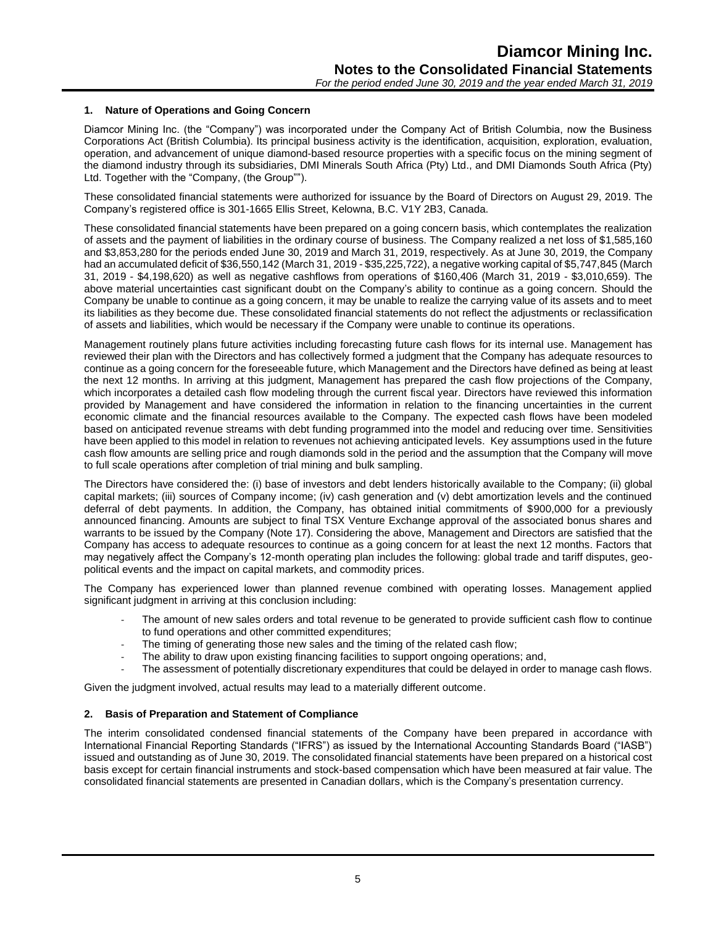#### **1. Nature of Operations and Going Concern**

Diamcor Mining Inc. (the "Company") was incorporated under the Company Act of British Columbia, now the Business Corporations Act (British Columbia). Its principal business activity is the identification, acquisition, exploration, evaluation, operation, and advancement of unique diamond-based resource properties with a specific focus on the mining segment of the diamond industry through its subsidiaries, DMI Minerals South Africa (Pty) Ltd., and DMI Diamonds South Africa (Pty) Ltd. Together with the "Company, (the Group"").

These consolidated financial statements were authorized for issuance by the Board of Directors on August 29, 2019. The Company's registered office is 301-1665 Ellis Street, Kelowna, B.C. V1Y 2B3, Canada.

These consolidated financial statements have been prepared on a going concern basis, which contemplates the realization of assets and the payment of liabilities in the ordinary course of business. The Company realized a net loss of \$1,585,160 and \$3,853,280 for the periods ended June 30, 2019 and March 31, 2019, respectively. As at June 30, 2019, the Company had an accumulated deficit of \$36,550,142 (March 31, 2019 - \$35,225,722), a negative working capital of \$5,747,845 (March 31, 2019 - \$4,198,620) as well as negative cashflows from operations of \$160,406 (March 31, 2019 - \$3,010,659). The above material uncertainties cast significant doubt on the Company's ability to continue as a going concern. Should the Company be unable to continue as a going concern, it may be unable to realize the carrying value of its assets and to meet its liabilities as they become due. These consolidated financial statements do not reflect the adjustments or reclassification of assets and liabilities, which would be necessary if the Company were unable to continue its operations.

Management routinely plans future activities including forecasting future cash flows for its internal use. Management has reviewed their plan with the Directors and has collectively formed a judgment that the Company has adequate resources to continue as a going concern for the foreseeable future, which Management and the Directors have defined as being at least the next 12 months. In arriving at this judgment, Management has prepared the cash flow projections of the Company, which incorporates a detailed cash flow modeling through the current fiscal year. Directors have reviewed this information provided by Management and have considered the information in relation to the financing uncertainties in the current economic climate and the financial resources available to the Company. The expected cash flows have been modeled based on anticipated revenue streams with debt funding programmed into the model and reducing over time. Sensitivities have been applied to this model in relation to revenues not achieving anticipated levels. Key assumptions used in the future cash flow amounts are selling price and rough diamonds sold in the period and the assumption that the Company will move to full scale operations after completion of trial mining and bulk sampling.

The Directors have considered the: (i) base of investors and debt lenders historically available to the Company; (ii) global capital markets; (iii) sources of Company income; (iv) cash generation and (v) debt amortization levels and the continued deferral of debt payments. In addition, the Company, has obtained initial commitments of \$900,000 for a previously announced financing. Amounts are subject to final TSX Venture Exchange approval of the associated bonus shares and warrants to be issued by the Company (Note 17). Considering the above, Management and Directors are satisfied that the Company has access to adequate resources to continue as a going concern for at least the next 12 months. Factors that may negatively affect the Company's 12-month operating plan includes the following: global trade and tariff disputes, geopolitical events and the impact on capital markets, and commodity prices.

The Company has experienced lower than planned revenue combined with operating losses. Management applied significant judgment in arriving at this conclusion including:

- The amount of new sales orders and total revenue to be generated to provide sufficient cash flow to continue to fund operations and other committed expenditures;
- The timing of generating those new sales and the timing of the related cash flow;
- The ability to draw upon existing financing facilities to support ongoing operations; and,
- The assessment of potentially discretionary expenditures that could be delayed in order to manage cash flows.

Given the judgment involved, actual results may lead to a materially different outcome.

#### **2. Basis of Preparation and Statement of Compliance**

The interim consolidated condensed financial statements of the Company have been prepared in accordance with International Financial Reporting Standards ("IFRS") as issued by the International Accounting Standards Board ("IASB") issued and outstanding as of June 30, 2019. The consolidated financial statements have been prepared on a historical cost basis except for certain financial instruments and stock-based compensation which have been measured at fair value. The consolidated financial statements are presented in Canadian dollars, which is the Company's presentation currency.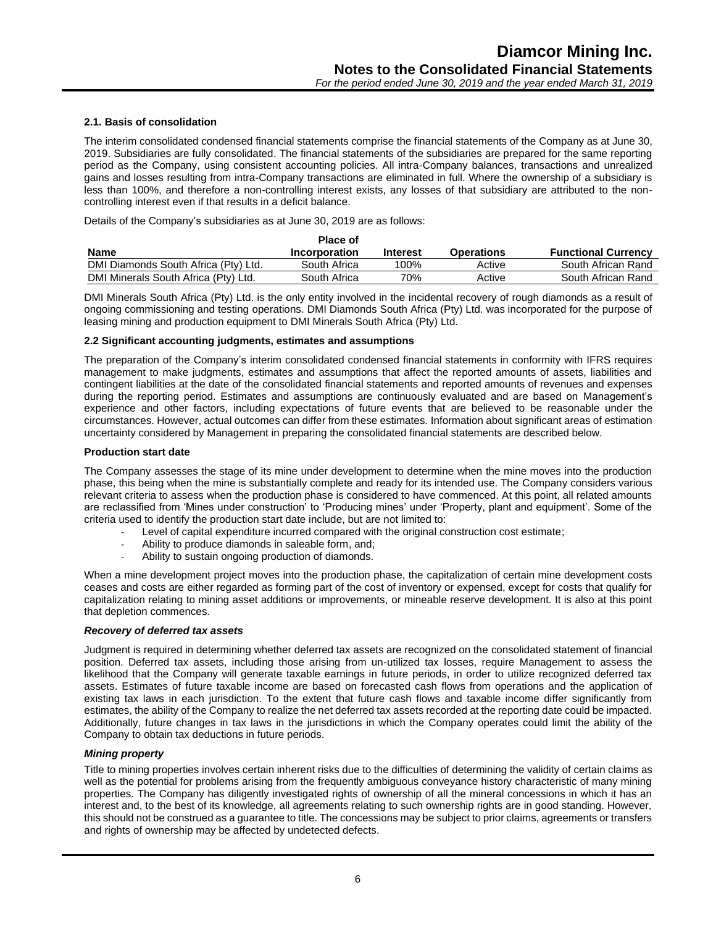#### **2.1. Basis of consolidation**

The interim consolidated condensed financial statements comprise the financial statements of the Company as at June 30, 2019. Subsidiaries are fully consolidated. The financial statements of the subsidiaries are prepared for the same reporting period as the Company, using consistent accounting policies. All intra-Company balances, transactions and unrealized gains and losses resulting from intra-Company transactions are eliminated in full. Where the ownership of a subsidiary is less than 100%, and therefore a non-controlling interest exists, any losses of that subsidiary are attributed to the noncontrolling interest even if that results in a deficit balance.

Details of the Company's subsidiaries as at June 30, 2019 are as follows:

|                                      | <b>Place of</b> |                 |                   |                            |
|--------------------------------------|-----------------|-----------------|-------------------|----------------------------|
| <b>Name</b>                          | Incorporation   | <b>Interest</b> | <b>Operations</b> | <b>Functional Currency</b> |
| DMI Diamonds South Africa (Pty) Ltd. | South Africa    | 100%            | Active            | South African Rand         |
| DMI Minerals South Africa (Pty) Ltd. | South Africa    | 70%             | Active            | South African Rand         |

DMI Minerals South Africa (Pty) Ltd. is the only entity involved in the incidental recovery of rough diamonds as a result of ongoing commissioning and testing operations. DMI Diamonds South Africa (Pty) Ltd. was incorporated for the purpose of leasing mining and production equipment to DMI Minerals South Africa (Pty) Ltd.

#### **2.2 Significant accounting judgments, estimates and assumptions**

The preparation of the Company's interim consolidated condensed financial statements in conformity with IFRS requires management to make judgments, estimates and assumptions that affect the reported amounts of assets, liabilities and contingent liabilities at the date of the consolidated financial statements and reported amounts of revenues and expenses during the reporting period. Estimates and assumptions are continuously evaluated and are based on Management's experience and other factors, including expectations of future events that are believed to be reasonable under the circumstances. However, actual outcomes can differ from these estimates. Information about significant areas of estimation uncertainty considered by Management in preparing the consolidated financial statements are described below.

#### **Production start date**

The Company assesses the stage of its mine under development to determine when the mine moves into the production phase, this being when the mine is substantially complete and ready for its intended use. The Company considers various relevant criteria to assess when the production phase is considered to have commenced. At this point, all related amounts are reclassified from 'Mines under construction' to 'Producing mines' under 'Property, plant and equipment'. Some of the criteria used to identify the production start date include, but are not limited to:

- Level of capital expenditure incurred compared with the original construction cost estimate:
- Ability to produce diamonds in saleable form, and:
- Ability to sustain ongoing production of diamonds.

When a mine development project moves into the production phase, the capitalization of certain mine development costs ceases and costs are either regarded as forming part of the cost of inventory or expensed, except for costs that qualify for capitalization relating to mining asset additions or improvements, or mineable reserve development. It is also at this point that depletion commences.

#### *Recovery of deferred tax assets*

Judgment is required in determining whether deferred tax assets are recognized on the consolidated statement of financial position. Deferred tax assets, including those arising from un-utilized tax losses, require Management to assess the likelihood that the Company will generate taxable earnings in future periods, in order to utilize recognized deferred tax assets. Estimates of future taxable income are based on forecasted cash flows from operations and the application of existing tax laws in each jurisdiction. To the extent that future cash flows and taxable income differ significantly from estimates, the ability of the Company to realize the net deferred tax assets recorded at the reporting date could be impacted. Additionally, future changes in tax laws in the jurisdictions in which the Company operates could limit the ability of the Company to obtain tax deductions in future periods.

#### *Mining property*

Title to mining properties involves certain inherent risks due to the difficulties of determining the validity of certain claims as well as the potential for problems arising from the frequently ambiguous conveyance history characteristic of many mining properties. The Company has diligently investigated rights of ownership of all the mineral concessions in which it has an interest and, to the best of its knowledge, all agreements relating to such ownership rights are in good standing. However, this should not be construed as a guarantee to title. The concessions may be subject to prior claims, agreements or transfers and rights of ownership may be affected by undetected defects.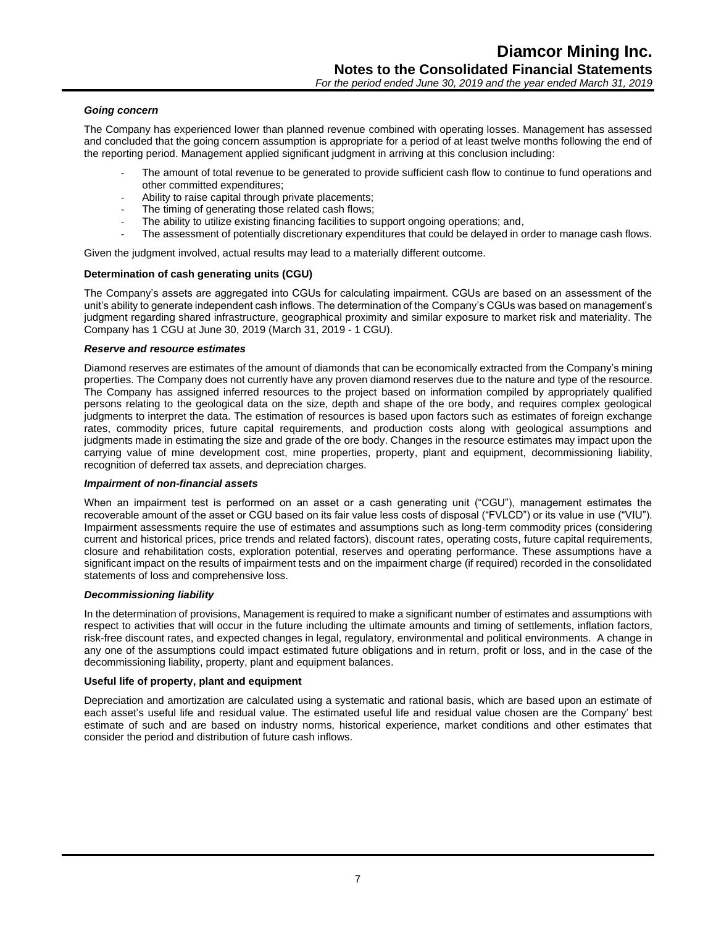#### *Going concern*

The Company has experienced lower than planned revenue combined with operating losses. Management has assessed and concluded that the going concern assumption is appropriate for a period of at least twelve months following the end of the reporting period. Management applied significant judgment in arriving at this conclusion including:

- The amount of total revenue to be generated to provide sufficient cash flow to continue to fund operations and other committed expenditures;
- Ability to raise capital through private placements;
- The timing of generating those related cash flows;
- The ability to utilize existing financing facilities to support ongoing operations; and,
- The assessment of potentially discretionary expenditures that could be delayed in order to manage cash flows.

Given the judgment involved, actual results may lead to a materially different outcome.

#### **Determination of cash generating units (CGU)**

The Company's assets are aggregated into CGUs for calculating impairment. CGUs are based on an assessment of the unit's ability to generate independent cash inflows. The determination of the Company's CGUs was based on management's judgment regarding shared infrastructure, geographical proximity and similar exposure to market risk and materiality. The Company has 1 CGU at June 30, 2019 (March 31, 2019 - 1 CGU).

#### *Reserve and resource estimates*

Diamond reserves are estimates of the amount of diamonds that can be economically extracted from the Company's mining properties. The Company does not currently have any proven diamond reserves due to the nature and type of the resource. The Company has assigned inferred resources to the project based on information compiled by appropriately qualified persons relating to the geological data on the size, depth and shape of the ore body, and requires complex geological judgments to interpret the data. The estimation of resources is based upon factors such as estimates of foreign exchange rates, commodity prices, future capital requirements, and production costs along with geological assumptions and judgments made in estimating the size and grade of the ore body. Changes in the resource estimates may impact upon the carrying value of mine development cost, mine properties, property, plant and equipment, decommissioning liability, recognition of deferred tax assets, and depreciation charges.

#### *Impairment of non-financial assets*

When an impairment test is performed on an asset or a cash generating unit ("CGU"), management estimates the recoverable amount of the asset or CGU based on its fair value less costs of disposal ("FVLCD") or its value in use ("VIU"). Impairment assessments require the use of estimates and assumptions such as long-term commodity prices (considering current and historical prices, price trends and related factors), discount rates, operating costs, future capital requirements, closure and rehabilitation costs, exploration potential, reserves and operating performance. These assumptions have a significant impact on the results of impairment tests and on the impairment charge (if required) recorded in the consolidated statements of loss and comprehensive loss.

#### *Decommissioning liability*

In the determination of provisions, Management is required to make a significant number of estimates and assumptions with respect to activities that will occur in the future including the ultimate amounts and timing of settlements, inflation factors, risk-free discount rates, and expected changes in legal, regulatory, environmental and political environments. A change in any one of the assumptions could impact estimated future obligations and in return, profit or loss, and in the case of the decommissioning liability, property, plant and equipment balances.

#### **Useful life of property, plant and equipment**

Depreciation and amortization are calculated using a systematic and rational basis, which are based upon an estimate of each asset's useful life and residual value. The estimated useful life and residual value chosen are the Company' best estimate of such and are based on industry norms, historical experience, market conditions and other estimates that consider the period and distribution of future cash inflows.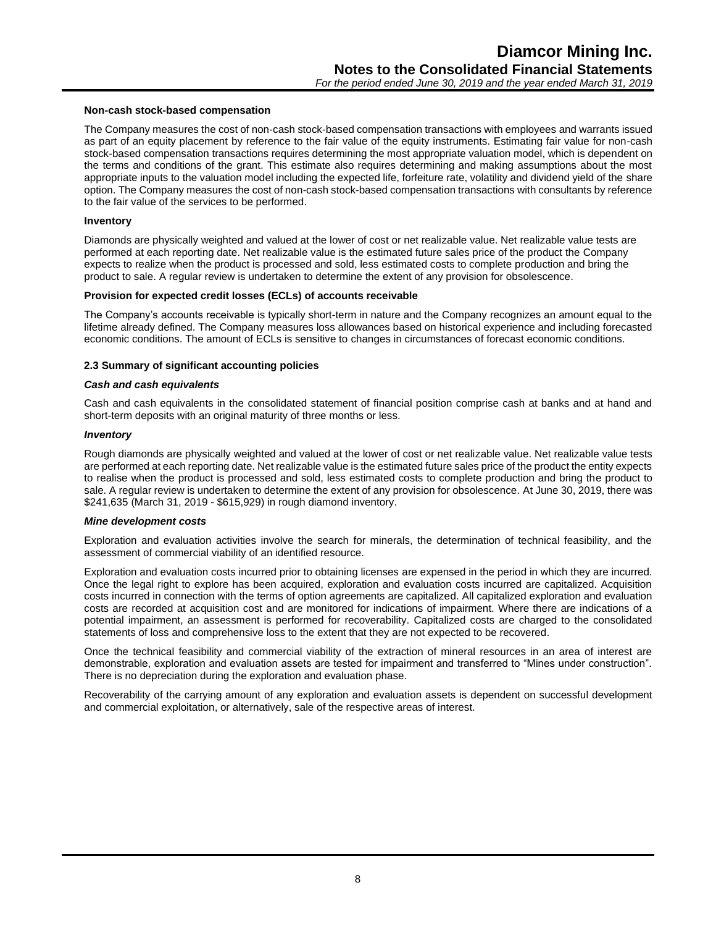### **Non-cash stock-based compensation**

The Company measures the cost of non-cash stock-based compensation transactions with employees and warrants issued as part of an equity placement by reference to the fair value of the equity instruments. Estimating fair value for non-cash stock-based compensation transactions requires determining the most appropriate valuation model, which is dependent on the terms and conditions of the grant. This estimate also requires determining and making assumptions about the most appropriate inputs to the valuation model including the expected life, forfeiture rate, volatility and dividend yield of the share option. The Company measures the cost of non-cash stock-based compensation transactions with consultants by reference to the fair value of the services to be performed.

#### **Inventory**

Diamonds are physically weighted and valued at the lower of cost or net realizable value. Net realizable value tests are performed at each reporting date. Net realizable value is the estimated future sales price of the product the Company expects to realize when the product is processed and sold, less estimated costs to complete production and bring the product to sale. A regular review is undertaken to determine the extent of any provision for obsolescence.

#### **Provision for expected credit losses (ECLs) of accounts receivable**

The Company's accounts receivable is typically short-term in nature and the Company recognizes an amount equal to the lifetime already defined. The Company measures loss allowances based on historical experience and including forecasted economic conditions. The amount of ECLs is sensitive to changes in circumstances of forecast economic conditions.

#### **2.3 Summary of significant accounting policies**

#### *Cash and cash equivalents*

Cash and cash equivalents in the consolidated statement of financial position comprise cash at banks and at hand and short-term deposits with an original maturity of three months or less.

#### *Inventory*

Rough diamonds are physically weighted and valued at the lower of cost or net realizable value. Net realizable value tests are performed at each reporting date. Net realizable value is the estimated future sales price of the product the entity expects to realise when the product is processed and sold, less estimated costs to complete production and bring the product to sale. A regular review is undertaken to determine the extent of any provision for obsolescence. At June 30, 2019, there was \$241,635 (March 31, 2019 - \$615,929) in rough diamond inventory.

#### *Mine development costs*

Exploration and evaluation activities involve the search for minerals, the determination of technical feasibility, and the assessment of commercial viability of an identified resource.

Exploration and evaluation costs incurred prior to obtaining licenses are expensed in the period in which they are incurred. Once the legal right to explore has been acquired, exploration and evaluation costs incurred are capitalized. Acquisition costs incurred in connection with the terms of option agreements are capitalized. All capitalized exploration and evaluation costs are recorded at acquisition cost and are monitored for indications of impairment. Where there are indications of a potential impairment, an assessment is performed for recoverability. Capitalized costs are charged to the consolidated statements of loss and comprehensive loss to the extent that they are not expected to be recovered.

Once the technical feasibility and commercial viability of the extraction of mineral resources in an area of interest are demonstrable, exploration and evaluation assets are tested for impairment and transferred to "Mines under construction". There is no depreciation during the exploration and evaluation phase.

Recoverability of the carrying amount of any exploration and evaluation assets is dependent on successful development and commercial exploitation, or alternatively, sale of the respective areas of interest.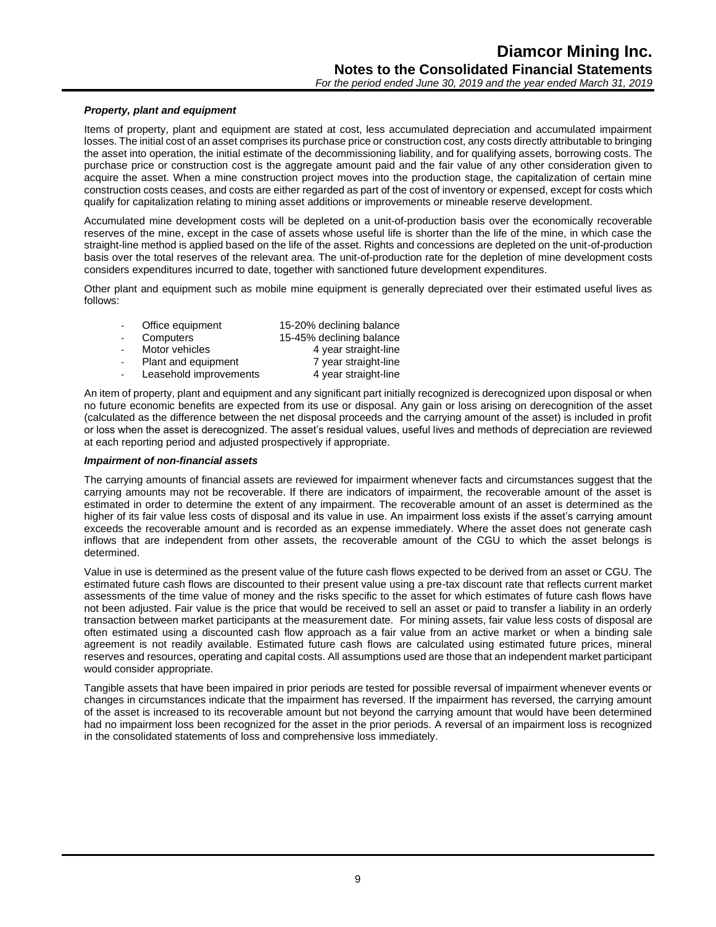#### *Property, plant and equipment*

Items of property, plant and equipment are stated at cost, less accumulated depreciation and accumulated impairment losses. The initial cost of an asset comprises its purchase price or construction cost, any costs directly attributable to bringing the asset into operation, the initial estimate of the decommissioning liability, and for qualifying assets, borrowing costs. The purchase price or construction cost is the aggregate amount paid and the fair value of any other consideration given to acquire the asset. When a mine construction project moves into the production stage, the capitalization of certain mine construction costs ceases, and costs are either regarded as part of the cost of inventory or expensed, except for costs which qualify for capitalization relating to mining asset additions or improvements or mineable reserve development.

Accumulated mine development costs will be depleted on a unit-of-production basis over the economically recoverable reserves of the mine, except in the case of assets whose useful life is shorter than the life of the mine, in which case the straight-line method is applied based on the life of the asset. Rights and concessions are depleted on the unit-of-production basis over the total reserves of the relevant area. The unit-of-production rate for the depletion of mine development costs considers expenditures incurred to date, together with sanctioned future development expenditures.

Other plant and equipment such as mobile mine equipment is generally depreciated over their estimated useful lives as follows:

| 15-20% declining balance |
|--------------------------|
| 15-45% declining balance |
| 4 year straight-line     |
| 7 year straight-line     |
| 4 year straight-line     |
|                          |

An item of property, plant and equipment and any significant part initially recognized is derecognized upon disposal or when no future economic benefits are expected from its use or disposal. Any gain or loss arising on derecognition of the asset (calculated as the difference between the net disposal proceeds and the carrying amount of the asset) is included in profit or loss when the asset is derecognized. The asset's residual values, useful lives and methods of depreciation are reviewed at each reporting period and adjusted prospectively if appropriate.

#### *Impairment of non-financial assets*

The carrying amounts of financial assets are reviewed for impairment whenever facts and circumstances suggest that the carrying amounts may not be recoverable. If there are indicators of impairment, the recoverable amount of the asset is estimated in order to determine the extent of any impairment. The recoverable amount of an asset is determined as the higher of its fair value less costs of disposal and its value in use. An impairment loss exists if the asset's carrying amount exceeds the recoverable amount and is recorded as an expense immediately. Where the asset does not generate cash inflows that are independent from other assets, the recoverable amount of the CGU to which the asset belongs is determined.

Value in use is determined as the present value of the future cash flows expected to be derived from an asset or CGU. The estimated future cash flows are discounted to their present value using a pre-tax discount rate that reflects current market assessments of the time value of money and the risks specific to the asset for which estimates of future cash flows have not been adjusted. Fair value is the price that would be received to sell an asset or paid to transfer a liability in an orderly transaction between market participants at the measurement date. For mining assets, fair value less costs of disposal are often estimated using a discounted cash flow approach as a fair value from an active market or when a binding sale agreement is not readily available. Estimated future cash flows are calculated using estimated future prices, mineral reserves and resources, operating and capital costs. All assumptions used are those that an independent market participant would consider appropriate.

Tangible assets that have been impaired in prior periods are tested for possible reversal of impairment whenever events or changes in circumstances indicate that the impairment has reversed. If the impairment has reversed, the carrying amount of the asset is increased to its recoverable amount but not beyond the carrying amount that would have been determined had no impairment loss been recognized for the asset in the prior periods. A reversal of an impairment loss is recognized in the consolidated statements of loss and comprehensive loss immediately.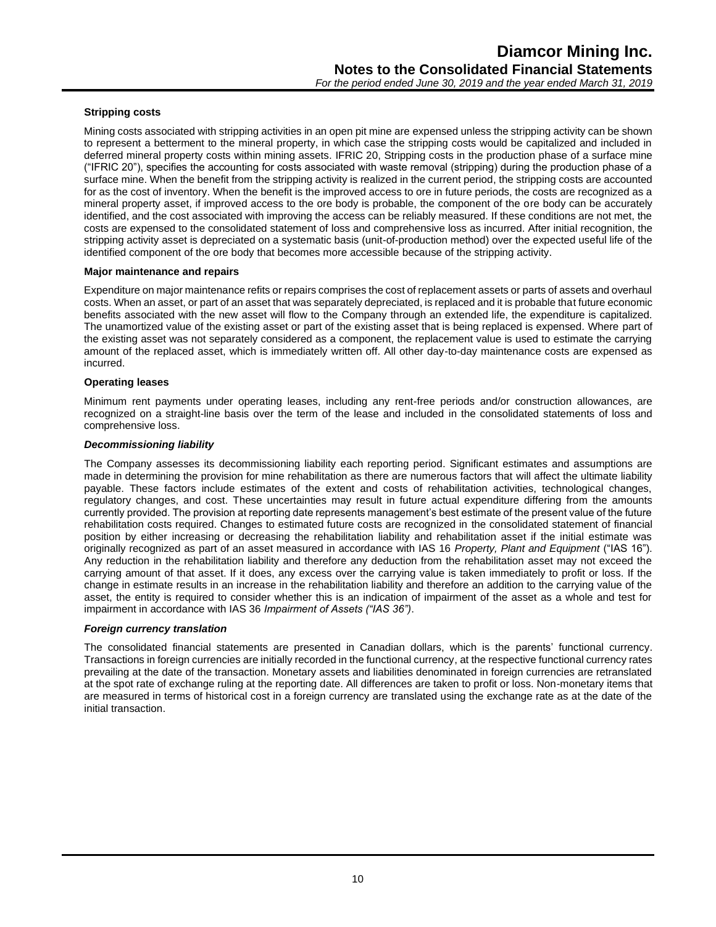#### **Stripping costs**

Mining costs associated with stripping activities in an open pit mine are expensed unless the stripping activity can be shown to represent a betterment to the mineral property, in which case the stripping costs would be capitalized and included in deferred mineral property costs within mining assets. IFRIC 20, Stripping costs in the production phase of a surface mine ("IFRIC 20"), specifies the accounting for costs associated with waste removal (stripping) during the production phase of a surface mine. When the benefit from the stripping activity is realized in the current period, the stripping costs are accounted for as the cost of inventory. When the benefit is the improved access to ore in future periods, the costs are recognized as a mineral property asset, if improved access to the ore body is probable, the component of the ore body can be accurately identified, and the cost associated with improving the access can be reliably measured. If these conditions are not met, the costs are expensed to the consolidated statement of loss and comprehensive loss as incurred. After initial recognition, the stripping activity asset is depreciated on a systematic basis (unit-of-production method) over the expected useful life of the identified component of the ore body that becomes more accessible because of the stripping activity.

#### **Major maintenance and repairs**

Expenditure on major maintenance refits or repairs comprises the cost of replacement assets or parts of assets and overhaul costs. When an asset, or part of an asset that was separately depreciated, is replaced and it is probable that future economic benefits associated with the new asset will flow to the Company through an extended life, the expenditure is capitalized. The unamortized value of the existing asset or part of the existing asset that is being replaced is expensed. Where part of the existing asset was not separately considered as a component, the replacement value is used to estimate the carrying amount of the replaced asset, which is immediately written off. All other day-to-day maintenance costs are expensed as incurred.

#### **Operating leases**

Minimum rent payments under operating leases, including any rent-free periods and/or construction allowances, are recognized on a straight-line basis over the term of the lease and included in the consolidated statements of loss and comprehensive loss.

#### *Decommissioning liability*

The Company assesses its decommissioning liability each reporting period. Significant estimates and assumptions are made in determining the provision for mine rehabilitation as there are numerous factors that will affect the ultimate liability payable. These factors include estimates of the extent and costs of rehabilitation activities, technological changes, regulatory changes, and cost. These uncertainties may result in future actual expenditure differing from the amounts currently provided. The provision at reporting date represents management's best estimate of the present value of the future rehabilitation costs required. Changes to estimated future costs are recognized in the consolidated statement of financial position by either increasing or decreasing the rehabilitation liability and rehabilitation asset if the initial estimate was originally recognized as part of an asset measured in accordance with IAS 16 *Property, Plant and Equipment* ("IAS 16"). Any reduction in the rehabilitation liability and therefore any deduction from the rehabilitation asset may not exceed the carrying amount of that asset. If it does, any excess over the carrying value is taken immediately to profit or loss. If the change in estimate results in an increase in the rehabilitation liability and therefore an addition to the carrying value of the asset, the entity is required to consider whether this is an indication of impairment of the asset as a whole and test for impairment in accordance with IAS 36 *Impairment of Assets ("IAS 36")*.

#### *Foreign currency translation*

The consolidated financial statements are presented in Canadian dollars, which is the parents' functional currency. Transactions in foreign currencies are initially recorded in the functional currency, at the respective functional currency rates prevailing at the date of the transaction. Monetary assets and liabilities denominated in foreign currencies are retranslated at the spot rate of exchange ruling at the reporting date. All differences are taken to profit or loss. Non-monetary items that are measured in terms of historical cost in a foreign currency are translated using the exchange rate as at the date of the initial transaction.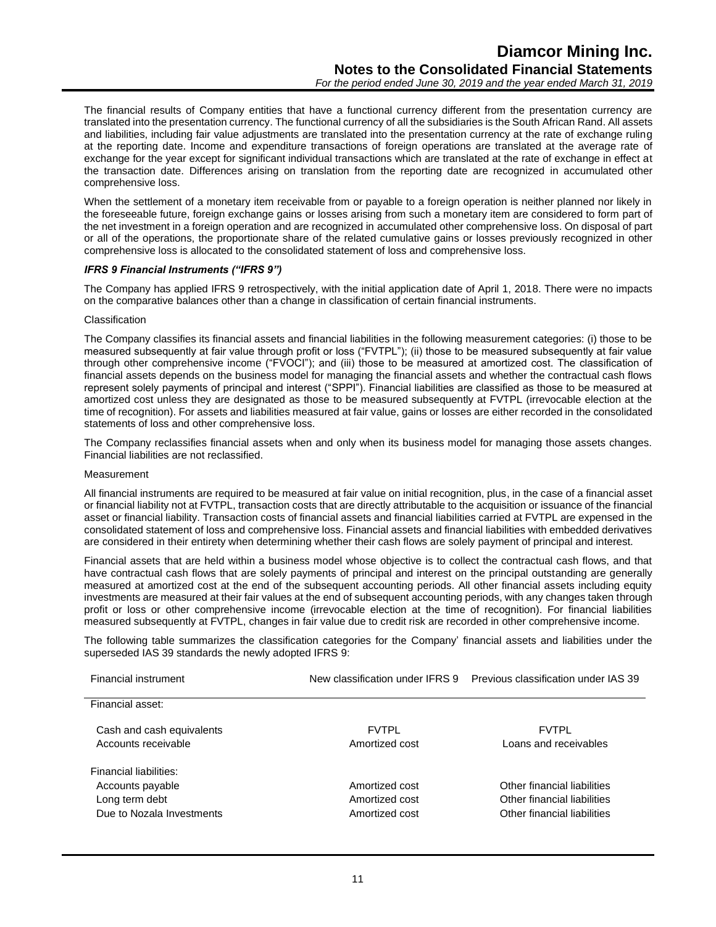The financial results of Company entities that have a functional currency different from the presentation currency are translated into the presentation currency. The functional currency of all the subsidiaries is the South African Rand. All assets and liabilities, including fair value adjustments are translated into the presentation currency at the rate of exchange ruling at the reporting date. Income and expenditure transactions of foreign operations are translated at the average rate of exchange for the year except for significant individual transactions which are translated at the rate of exchange in effect at the transaction date. Differences arising on translation from the reporting date are recognized in accumulated other comprehensive loss.

When the settlement of a monetary item receivable from or payable to a foreign operation is neither planned nor likely in the foreseeable future, foreign exchange gains or losses arising from such a monetary item are considered to form part of the net investment in a foreign operation and are recognized in accumulated other comprehensive loss. On disposal of part or all of the operations, the proportionate share of the related cumulative gains or losses previously recognized in other comprehensive loss is allocated to the consolidated statement of loss and comprehensive loss.

#### *IFRS 9 Financial Instruments ("IFRS 9")*

The Company has applied IFRS 9 retrospectively, with the initial application date of April 1, 2018. There were no impacts on the comparative balances other than a change in classification of certain financial instruments.

#### Classification

The Company classifies its financial assets and financial liabilities in the following measurement categories: (i) those to be measured subsequently at fair value through profit or loss ("FVTPL"); (ii) those to be measured subsequently at fair value through other comprehensive income ("FVOCI"); and (iii) those to be measured at amortized cost. The classification of financial assets depends on the business model for managing the financial assets and whether the contractual cash flows represent solely payments of principal and interest ("SPPI"). Financial liabilities are classified as those to be measured at amortized cost unless they are designated as those to be measured subsequently at FVTPL (irrevocable election at the time of recognition). For assets and liabilities measured at fair value, gains or losses are either recorded in the consolidated statements of loss and other comprehensive loss.

The Company reclassifies financial assets when and only when its business model for managing those assets changes. Financial liabilities are not reclassified.

#### Measurement

All financial instruments are required to be measured at fair value on initial recognition, plus, in the case of a financial asset or financial liability not at FVTPL, transaction costs that are directly attributable to the acquisition or issuance of the financial asset or financial liability. Transaction costs of financial assets and financial liabilities carried at FVTPL are expensed in the consolidated statement of loss and comprehensive loss. Financial assets and financial liabilities with embedded derivatives are considered in their entirety when determining whether their cash flows are solely payment of principal and interest.

Financial assets that are held within a business model whose objective is to collect the contractual cash flows, and that have contractual cash flows that are solely payments of principal and interest on the principal outstanding are generally measured at amortized cost at the end of the subsequent accounting periods. All other financial assets including equity investments are measured at their fair values at the end of subsequent accounting periods, with any changes taken through profit or loss or other comprehensive income (irrevocable election at the time of recognition). For financial liabilities measured subsequently at FVTPL, changes in fair value due to credit risk are recorded in other comprehensive income.

The following table summarizes the classification categories for the Company' financial assets and liabilities under the superseded IAS 39 standards the newly adopted IFRS 9:

| Financial instrument      | New classification under IFRS 9 | Previous classification under IAS 39 |
|---------------------------|---------------------------------|--------------------------------------|
| Financial asset:          |                                 |                                      |
| Cash and cash equivalents | <b>FVTPL</b>                    | <b>FVTPL</b>                         |
| Accounts receivable       | Amortized cost                  | Loans and receivables                |
| Financial liabilities:    |                                 |                                      |
| Accounts payable          | Amortized cost                  | Other financial liabilities          |
| Long term debt            | Amortized cost                  | Other financial liabilities          |
| Due to Nozala Investments | Amortized cost                  | Other financial liabilities          |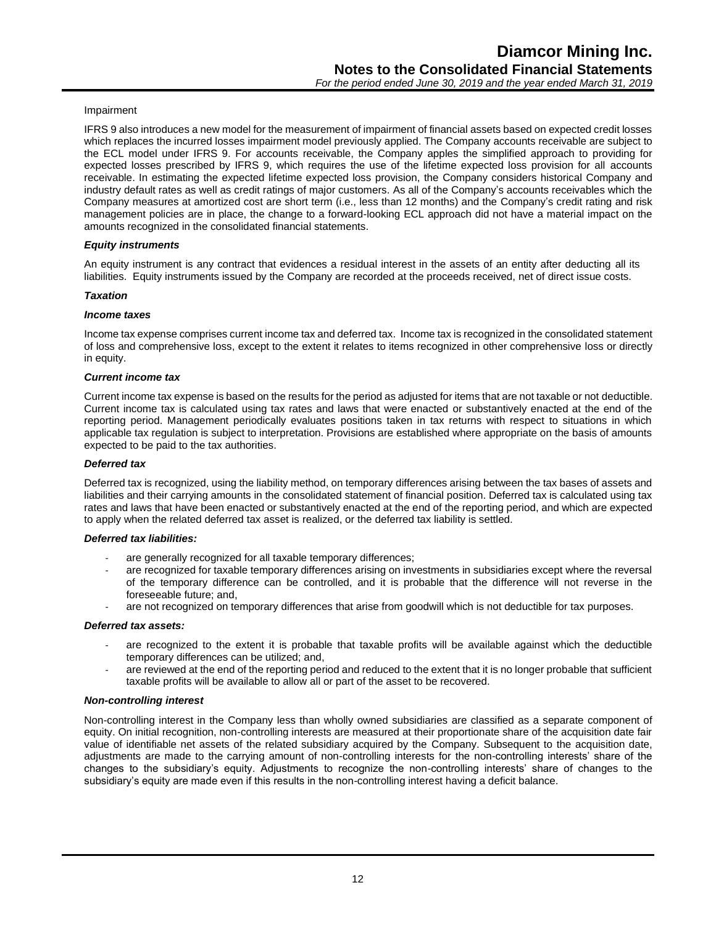#### Impairment

IFRS 9 also introduces a new model for the measurement of impairment of financial assets based on expected credit losses which replaces the incurred losses impairment model previously applied. The Company accounts receivable are subject to the ECL model under IFRS 9. For accounts receivable, the Company apples the simplified approach to providing for expected losses prescribed by IFRS 9, which requires the use of the lifetime expected loss provision for all accounts receivable. In estimating the expected lifetime expected loss provision, the Company considers historical Company and industry default rates as well as credit ratings of major customers. As all of the Company's accounts receivables which the Company measures at amortized cost are short term (i.e., less than 12 months) and the Company's credit rating and risk management policies are in place, the change to a forward-looking ECL approach did not have a material impact on the amounts recognized in the consolidated financial statements.

#### *Equity instruments*

An equity instrument is any contract that evidences a residual interest in the assets of an entity after deducting all its liabilities. Equity instruments issued by the Company are recorded at the proceeds received, net of direct issue costs.

#### *Taxation*

#### *Income taxes*

Income tax expense comprises current income tax and deferred tax. Income tax is recognized in the consolidated statement of loss and comprehensive loss, except to the extent it relates to items recognized in other comprehensive loss or directly in equity.

#### *Current income tax*

Current income tax expense is based on the results for the period as adjusted for items that are not taxable or not deductible. Current income tax is calculated using tax rates and laws that were enacted or substantively enacted at the end of the reporting period. Management periodically evaluates positions taken in tax returns with respect to situations in which applicable tax regulation is subject to interpretation. Provisions are established where appropriate on the basis of amounts expected to be paid to the tax authorities.

#### *Deferred tax*

Deferred tax is recognized, using the liability method, on temporary differences arising between the tax bases of assets and liabilities and their carrying amounts in the consolidated statement of financial position. Deferred tax is calculated using tax rates and laws that have been enacted or substantively enacted at the end of the reporting period, and which are expected to apply when the related deferred tax asset is realized, or the deferred tax liability is settled.

#### *Deferred tax liabilities:*

- are generally recognized for all taxable temporary differences;
- are recognized for taxable temporary differences arising on investments in subsidiaries except where the reversal of the temporary difference can be controlled, and it is probable that the difference will not reverse in the foreseeable future; and,
- are not recognized on temporary differences that arise from goodwill which is not deductible for tax purposes.

#### *Deferred tax assets:*

- are recognized to the extent it is probable that taxable profits will be available against which the deductible temporary differences can be utilized; and,
- are reviewed at the end of the reporting period and reduced to the extent that it is no longer probable that sufficient taxable profits will be available to allow all or part of the asset to be recovered.

#### *Non-controlling interest*

Non-controlling interest in the Company less than wholly owned subsidiaries are classified as a separate component of equity. On initial recognition, non-controlling interests are measured at their proportionate share of the acquisition date fair value of identifiable net assets of the related subsidiary acquired by the Company. Subsequent to the acquisition date, adjustments are made to the carrying amount of non-controlling interests for the non-controlling interests' share of the changes to the subsidiary's equity. Adjustments to recognize the non-controlling interests' share of changes to the subsidiary's equity are made even if this results in the non-controlling interest having a deficit balance.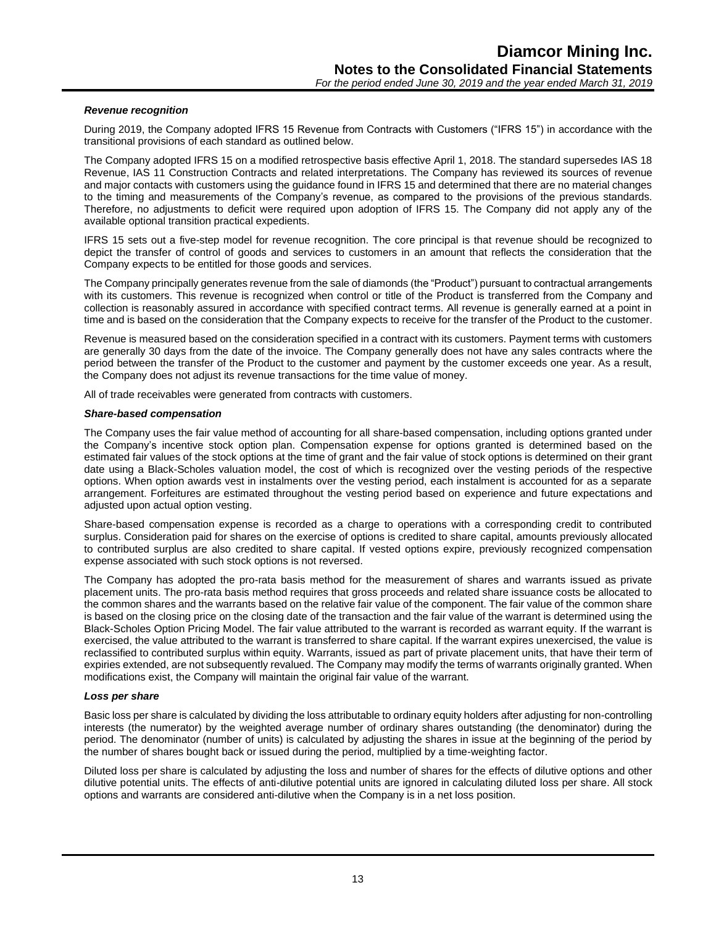#### *Revenue recognition*

During 2019, the Company adopted IFRS 15 Revenue from Contracts with Customers ("IFRS 15") in accordance with the transitional provisions of each standard as outlined below.

The Company adopted IFRS 15 on a modified retrospective basis effective April 1, 2018. The standard supersedes IAS 18 Revenue, IAS 11 Construction Contracts and related interpretations. The Company has reviewed its sources of revenue and major contacts with customers using the guidance found in IFRS 15 and determined that there are no material changes to the timing and measurements of the Company's revenue, as compared to the provisions of the previous standards. Therefore, no adjustments to deficit were required upon adoption of IFRS 15. The Company did not apply any of the available optional transition practical expedients.

IFRS 15 sets out a five-step model for revenue recognition. The core principal is that revenue should be recognized to depict the transfer of control of goods and services to customers in an amount that reflects the consideration that the Company expects to be entitled for those goods and services.

The Company principally generates revenue from the sale of diamonds (the "Product") pursuant to contractual arrangements with its customers. This revenue is recognized when control or title of the Product is transferred from the Company and collection is reasonably assured in accordance with specified contract terms. All revenue is generally earned at a point in time and is based on the consideration that the Company expects to receive for the transfer of the Product to the customer.

Revenue is measured based on the consideration specified in a contract with its customers. Payment terms with customers are generally 30 days from the date of the invoice. The Company generally does not have any sales contracts where the period between the transfer of the Product to the customer and payment by the customer exceeds one year. As a result, the Company does not adjust its revenue transactions for the time value of money.

All of trade receivables were generated from contracts with customers.

#### *Share-based compensation*

The Company uses the fair value method of accounting for all share-based compensation, including options granted under the Company's incentive stock option plan. Compensation expense for options granted is determined based on the estimated fair values of the stock options at the time of grant and the fair value of stock options is determined on their grant date using a Black-Scholes valuation model, the cost of which is recognized over the vesting periods of the respective options. When option awards vest in instalments over the vesting period, each instalment is accounted for as a separate arrangement. Forfeitures are estimated throughout the vesting period based on experience and future expectations and adjusted upon actual option vesting.

Share-based compensation expense is recorded as a charge to operations with a corresponding credit to contributed surplus. Consideration paid for shares on the exercise of options is credited to share capital, amounts previously allocated to contributed surplus are also credited to share capital. If vested options expire, previously recognized compensation expense associated with such stock options is not reversed.

The Company has adopted the pro-rata basis method for the measurement of shares and warrants issued as private placement units. The pro-rata basis method requires that gross proceeds and related share issuance costs be allocated to the common shares and the warrants based on the relative fair value of the component. The fair value of the common share is based on the closing price on the closing date of the transaction and the fair value of the warrant is determined using the Black-Scholes Option Pricing Model. The fair value attributed to the warrant is recorded as warrant equity. If the warrant is exercised, the value attributed to the warrant is transferred to share capital. If the warrant expires unexercised, the value is reclassified to contributed surplus within equity. Warrants, issued as part of private placement units, that have their term of expiries extended, are not subsequently revalued. The Company may modify the terms of warrants originally granted. When modifications exist, the Company will maintain the original fair value of the warrant.

#### *Loss per share*

Basic loss per share is calculated by dividing the loss attributable to ordinary equity holders after adjusting for non-controlling interests (the numerator) by the weighted average number of ordinary shares outstanding (the denominator) during the period. The denominator (number of units) is calculated by adjusting the shares in issue at the beginning of the period by the number of shares bought back or issued during the period, multiplied by a time-weighting factor.

Diluted loss per share is calculated by adjusting the loss and number of shares for the effects of dilutive options and other dilutive potential units. The effects of anti-dilutive potential units are ignored in calculating diluted loss per share. All stock options and warrants are considered anti-dilutive when the Company is in a net loss position.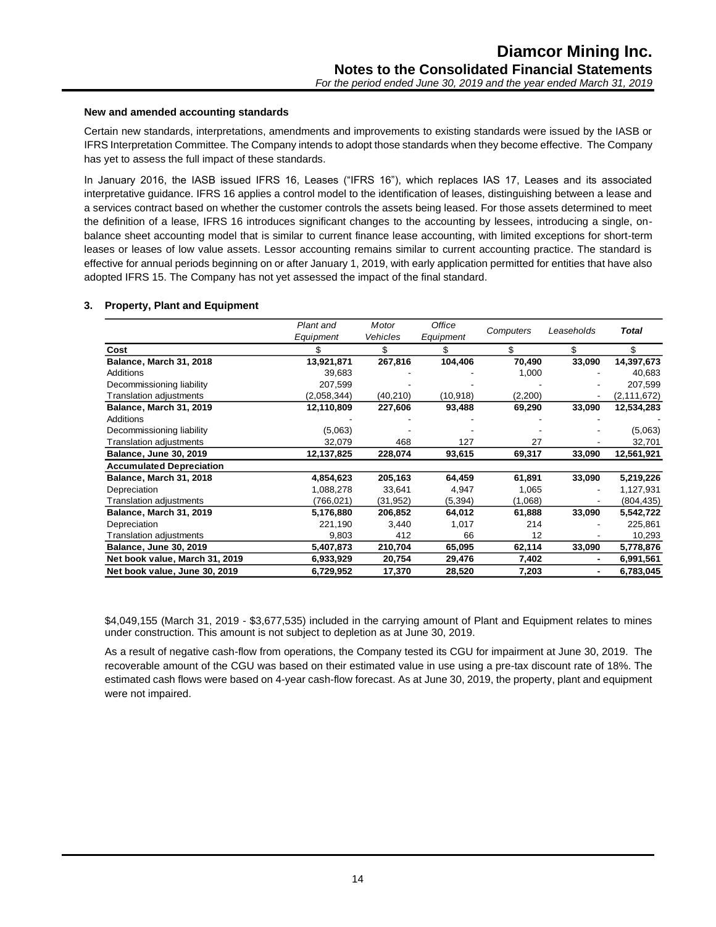#### **New and amended accounting standards**

Certain new standards, interpretations, amendments and improvements to existing standards were issued by the IASB or IFRS Interpretation Committee. The Company intends to adopt those standards when they become effective. The Company has yet to assess the full impact of these standards.

In January 2016, the IASB issued IFRS 16, Leases ("IFRS 16"), which replaces IAS 17, Leases and its associated interpretative guidance. IFRS 16 applies a control model to the identification of leases, distinguishing between a lease and a services contract based on whether the customer controls the assets being leased. For those assets determined to meet the definition of a lease, IFRS 16 introduces significant changes to the accounting by lessees, introducing a single, onbalance sheet accounting model that is similar to current finance lease accounting, with limited exceptions for short-term leases or leases of low value assets. Lessor accounting remains similar to current accounting practice. The standard is effective for annual periods beginning on or after January 1, 2019, with early application permitted for entities that have also adopted IFRS 15. The Company has not yet assessed the impact of the final standard.

#### **3. Property, Plant and Equipment**

|                                 | Plant and   | Motor    | Office    |           |            |               |
|---------------------------------|-------------|----------|-----------|-----------|------------|---------------|
|                                 | Equipment   | Vehicles | Equipment | Computers | Leaseholds | Total         |
| Cost                            | \$          | \$       | \$        | \$        | \$         | \$            |
| Balance, March 31, 2018         | 13,921,871  | 267,816  | 104,406   | 70,490    | 33,090     | 14,397,673    |
| <b>Additions</b>                | 39.683      |          |           | 1,000     |            | 40,683        |
| Decommissioning liability       | 207,599     |          |           |           |            | 207,599       |
| <b>Translation adjustments</b>  | (2,058,344) | (40,210) | (10, 918) | (2,200)   |            | (2, 111, 672) |
| Balance, March 31, 2019         | 12,110,809  | 227,606  | 93,488    | 69,290    | 33,090     | 12,534,283    |
| Additions                       |             |          |           |           |            |               |
| Decommissioning liability       | (5,063)     |          |           |           |            | (5,063)       |
| <b>Translation adjustments</b>  | 32,079      | 468      | 127       | 27        |            | 32,701        |
| <b>Balance, June 30, 2019</b>   | 12,137,825  | 228,074  | 93,615    | 69,317    | 33,090     | 12,561,921    |
| <b>Accumulated Depreciation</b> |             |          |           |           |            |               |
| Balance, March 31, 2018         | 4,854,623   | 205,163  | 64,459    | 61,891    | 33,090     | 5,219,226     |
| Depreciation                    | 1,088,278   | 33,641   | 4,947     | 1,065     |            | 1,127,931     |
| Translation adjustments         | (766,021)   | (31,952) | (5, 394)  | (1,068)   |            | (804,435)     |
| Balance, March 31, 2019         | 5,176,880   | 206,852  | 64,012    | 61,888    | 33,090     | 5,542,722     |
| Depreciation                    | 221,190     | 3,440    | 1,017     | 214       |            | 225,861       |
| Translation adjustments         | 9,803       | 412      | 66        | 12        |            | 10,293        |
| <b>Balance, June 30, 2019</b>   | 5,407,873   | 210,704  | 65,095    | 62,114    | 33,090     | 5,778,876     |
| Net book value, March 31, 2019  | 6,933,929   | 20,754   | 29,476    | 7,402     | ٠          | 6,991,561     |
| Net book value, June 30, 2019   | 6,729,952   | 17,370   | 28,520    | 7,203     |            | 6,783,045     |

\$4,049,155 (March 31, 2019 - \$3,677,535) included in the carrying amount of Plant and Equipment relates to mines under construction. This amount is not subject to depletion as at June 30, 2019.

As a result of negative cash-flow from operations, the Company tested its CGU for impairment at June 30, 2019. The recoverable amount of the CGU was based on their estimated value in use using a pre-tax discount rate of 18%. The estimated cash flows were based on 4-year cash-flow forecast. As at June 30, 2019, the property, plant and equipment were not impaired.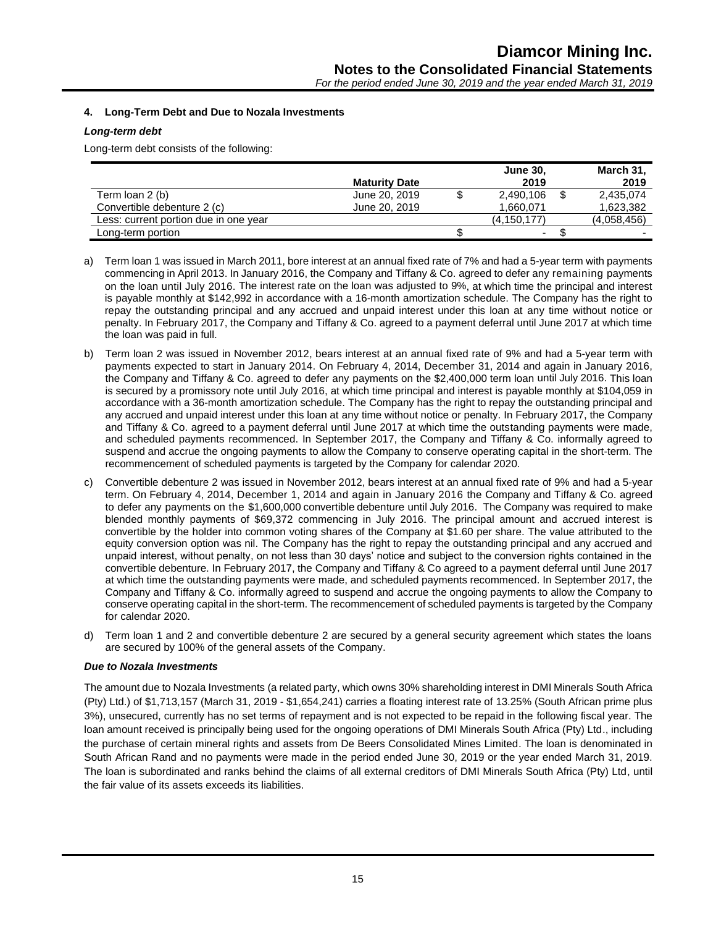#### **4. Long-Term Debt and Due to Nozala Investments**

#### *Long-term debt*

Long-term debt consists of the following:

|                                       |                      | <b>June 30,</b> | March 31,    |
|---------------------------------------|----------------------|-----------------|--------------|
|                                       | <b>Maturity Date</b> | 2019            | 2019         |
| Term loan 2 (b)                       | June 20, 2019        | 2,490,106       | 2,435,074    |
| Convertible debenture 2 (c)           | June 20, 2019        | 1.660.071       | 1,623,382    |
| Less: current portion due in one year |                      | (4, 150, 177)   | (4.058, 456) |
| Long-term portion                     |                      | ۰               | -            |

- a) Term loan 1 was issued in March 2011, bore interest at an annual fixed rate of 7% and had a 5-year term with payments commencing in April 2013. In January 2016, the Company and Tiffany & Co. agreed to defer any remaining payments on the loan until July 2016. The interest rate on the loan was adjusted to 9%, at which time the principal and interest is payable monthly at \$142,992 in accordance with a 16-month amortization schedule. The Company has the right to repay the outstanding principal and any accrued and unpaid interest under this loan at any time without notice or penalty. In February 2017, the Company and Tiffany & Co. agreed to a payment deferral until June 2017 at which time the loan was paid in full.
- b) Term loan 2 was issued in November 2012, bears interest at an annual fixed rate of 9% and had a 5-year term with payments expected to start in January 2014. On February 4, 2014, December 31, 2014 and again in January 2016, the Company and Tiffany & Co. agreed to defer any payments on the \$2,400,000 term loan until July 2016. This loan is secured by a promissory note until July 2016, at which time principal and interest is payable monthly at \$104,059 in accordance with a 36-month amortization schedule. The Company has the right to repay the outstanding principal and any accrued and unpaid interest under this loan at any time without notice or penalty. In February 2017, the Company and Tiffany & Co. agreed to a payment deferral until June 2017 at which time the outstanding payments were made, and scheduled payments recommenced. In September 2017, the Company and Tiffany & Co. informally agreed to suspend and accrue the ongoing payments to allow the Company to conserve operating capital in the short-term. The recommencement of scheduled payments is targeted by the Company for calendar 2020.
- c) Convertible debenture 2 was issued in November 2012, bears interest at an annual fixed rate of 9% and had a 5-year term. On February 4, 2014, December 1, 2014 and again in January 2016 the Company and Tiffany & Co. agreed to defer any payments on the \$1,600,000 convertible debenture until July 2016. The Company was required to make blended monthly payments of \$69,372 commencing in July 2016. The principal amount and accrued interest is convertible by the holder into common voting shares of the Company at \$1.60 per share. The value attributed to the equity conversion option was nil. The Company has the right to repay the outstanding principal and any accrued and unpaid interest, without penalty, on not less than 30 days' notice and subject to the conversion rights contained in the convertible debenture. In February 2017, the Company and Tiffany & Co agreed to a payment deferral until June 2017 at which time the outstanding payments were made, and scheduled payments recommenced. In September 2017, the Company and Tiffany & Co. informally agreed to suspend and accrue the ongoing payments to allow the Company to conserve operating capital in the short-term. The recommencement of scheduled payments is targeted by the Company for calendar 2020.
- d) Term loan 1 and 2 and convertible debenture 2 are secured by a general security agreement which states the loans are secured by 100% of the general assets of the Company.

#### *Due to Nozala Investments*

The amount due to Nozala Investments (a related party, which owns 30% shareholding interest in DMI Minerals South Africa (Pty) Ltd.) of \$1,713,157 (March 31, 2019 - \$1,654,241) carries a floating interest rate of 13.25% (South African prime plus 3%), unsecured, currently has no set terms of repayment and is not expected to be repaid in the following fiscal year. The loan amount received is principally being used for the ongoing operations of DMI Minerals South Africa (Pty) Ltd., including the purchase of certain mineral rights and assets from De Beers Consolidated Mines Limited. The loan is denominated in South African Rand and no payments were made in the period ended June 30, 2019 or the year ended March 31, 2019. The loan is subordinated and ranks behind the claims of all external creditors of DMI Minerals South Africa (Pty) Ltd, until the fair value of its assets exceeds its liabilities.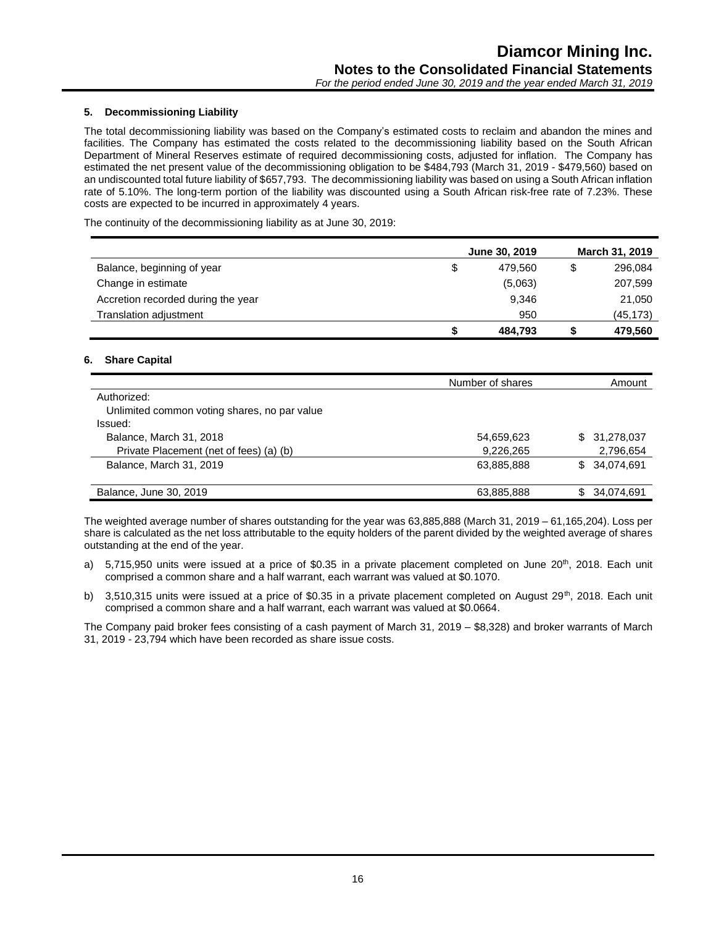#### **5. Decommissioning Liability**

The total decommissioning liability was based on the Company's estimated costs to reclaim and abandon the mines and facilities. The Company has estimated the costs related to the decommissioning liability based on the South African Department of Mineral Reserves estimate of required decommissioning costs, adjusted for inflation. The Company has estimated the net present value of the decommissioning obligation to be \$484,793 (March 31, 2019 - \$479,560) based on an undiscounted total future liability of \$657,793. The decommissioning liability was based on using a South African inflation rate of 5.10%. The long-term portion of the liability was discounted using a South African risk-free rate of 7.23%. These costs are expected to be incurred in approximately 4 years.

The continuity of the decommissioning liability as at June 30, 2019:

|                                    | June 30, 2019 | March 31, 2019 |
|------------------------------------|---------------|----------------|
| Balance, beginning of year         | \$<br>479.560 | \$<br>296,084  |
| Change in estimate                 | (5,063)       | 207,599        |
| Accretion recorded during the year | 9.346         | 21,050         |
| <b>Translation adjustment</b>      | 950           | (45,173)       |
|                                    | 484,793       | 479.560        |

#### **6. Share Capital**

| Number of shares |                   |  |
|------------------|-------------------|--|
|                  |                   |  |
|                  |                   |  |
|                  |                   |  |
| 54,659,623       | \$ 31,278,037     |  |
| 9,226,265        | 2,796,654         |  |
| 63,885,888       | \$ 34,074,691     |  |
|                  |                   |  |
| 63,885,888       | 34,074,691<br>\$. |  |
|                  |                   |  |

The weighted average number of shares outstanding for the year was 63,885,888 (March 31, 2019 – 61,165,204). Loss per share is calculated as the net loss attributable to the equity holders of the parent divided by the weighted average of shares outstanding at the end of the year.

- a) 5,715,950 units were issued at a price of \$0.35 in a private placement completed on June  $20^{th}$ , 2018. Each unit comprised a common share and a half warrant, each warrant was valued at \$0.1070.
- b) 3,510,315 units were issued at a price of \$0.35 in a private placement completed on August  $29^{th}$ , 2018. Each unit comprised a common share and a half warrant, each warrant was valued at \$0.0664.

The Company paid broker fees consisting of a cash payment of March 31, 2019 – \$8,328) and broker warrants of March 31, 2019 - 23,794 which have been recorded as share issue costs.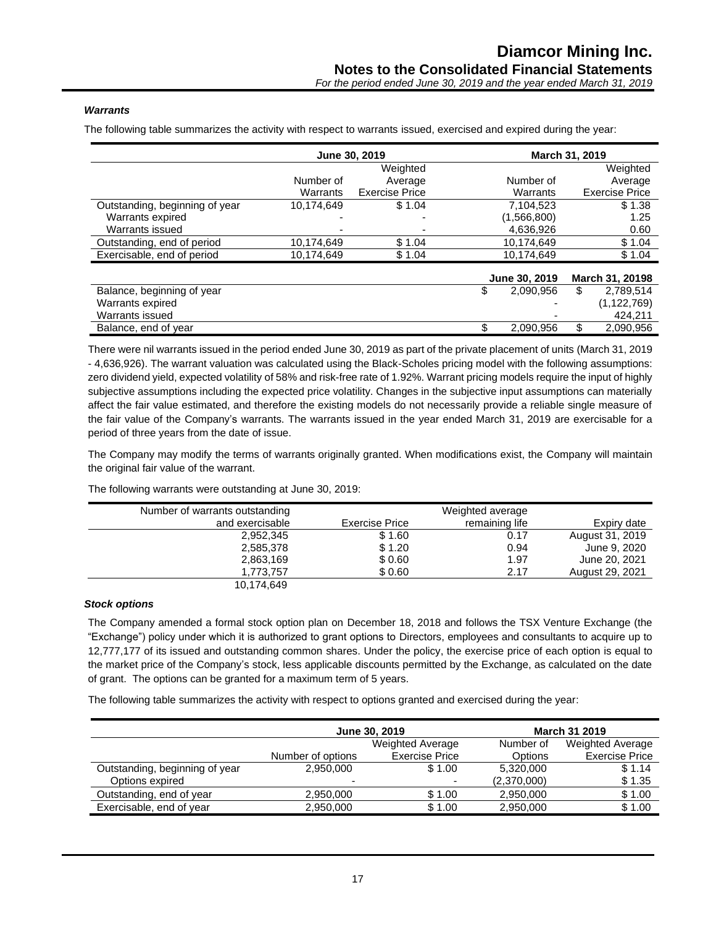#### *Warrants*

The following table summarizes the activity with respect to warrants issued, exercised and expired during the year:

|                                |            | June 30, 2019         |                 | March 31, 2019        |
|--------------------------------|------------|-----------------------|-----------------|-----------------------|
|                                |            | Weighted              |                 | Weighted              |
|                                | Number of  | Average               | Number of       | Average               |
|                                | Warrants   | <b>Exercise Price</b> | Warrants        | <b>Exercise Price</b> |
| Outstanding, beginning of year | 10,174,649 | \$1.04                | 7.104.523       | \$1.38                |
| Warrants expired               |            |                       | (1,566,800)     | 1.25                  |
| Warrants issued                |            |                       | 4,636,926       | 0.60                  |
| Outstanding, end of period     | 10,174,649 | \$1.04                | 10,174,649      | \$1.04                |
| Exercisable, end of period     | 10,174,649 | \$1.04                | 10,174,649      | \$1.04                |
|                                |            |                       | June 30, 2019   | March 31, 20198       |
| Balance, beginning of year     |            |                       | \$<br>2,090,956 | \$<br>2.789.514       |
| Warrants expired               |            |                       |                 | (1, 122, 769)         |
| Warrants issued                |            |                       |                 | 424.211               |
| Balance, end of year           |            |                       | 2,090,956       | 2,090,956             |

There were nil warrants issued in the period ended June 30, 2019 as part of the private placement of units (March 31, 2019 - 4,636,926). The warrant valuation was calculated using the Black-Scholes pricing model with the following assumptions: zero dividend yield, expected volatility of 58% and risk-free rate of 1.92%. Warrant pricing models require the input of highly subjective assumptions including the expected price volatility. Changes in the subjective input assumptions can materially affect the fair value estimated, and therefore the existing models do not necessarily provide a reliable single measure of the fair value of the Company's warrants. The warrants issued in the year ended March 31, 2019 are exercisable for a period of three years from the date of issue.

The Company may modify the terms of warrants originally granted. When modifications exist, the Company will maintain the original fair value of the warrant.

| Number of warrants outstanding |                | Weighted average |                 |
|--------------------------------|----------------|------------------|-----------------|
| and exercisable                | Exercise Price | remaining life   | Expiry date     |
| 2,952,345                      | \$1.60         | 0.17             | August 31, 2019 |
| 2,585,378                      | \$1.20         | 0.94             | June 9, 2020    |
| 2,863,169                      | \$0.60         | 1.97             | June 20, 2021   |
| 1,773,757                      | \$0.60         | 2.17             | August 29, 2021 |
| 10,174,649                     |                |                  |                 |

The following warrants were outstanding at June 30, 2019:

#### *Stock options*

The Company amended a formal stock option plan on December 18, 2018 and follows the TSX Venture Exchange (the "Exchange") policy under which it is authorized to grant options to Directors, employees and consultants to acquire up to 12,777,177 of its issued and outstanding common shares. Under the policy, the exercise price of each option is equal to the market price of the Company's stock, less applicable discounts permitted by the Exchange, as calculated on the date of grant. The options can be granted for a maximum term of 5 years.

The following table summarizes the activity with respect to options granted and exercised during the year:

|                                |                          | June 30, 2019         |             | <b>March 31 2019</b>    |
|--------------------------------|--------------------------|-----------------------|-------------|-------------------------|
|                                | Weighted Average         |                       | Number of   | <b>Weighted Average</b> |
|                                | Number of options        | <b>Exercise Price</b> | Options     | <b>Exercise Price</b>   |
| Outstanding, beginning of year | 2,950,000                | \$1.00                | 5,320,000   | \$1.14                  |
| Options expired                | $\overline{\phantom{a}}$ | -                     | (2,370,000) | \$1.35                  |
| Outstanding, end of year       | 2,950,000                | \$1.00                | 2,950,000   | \$1.00                  |
| Exercisable, end of year       | 2,950,000                | \$1.00                | 2,950,000   | \$1.00                  |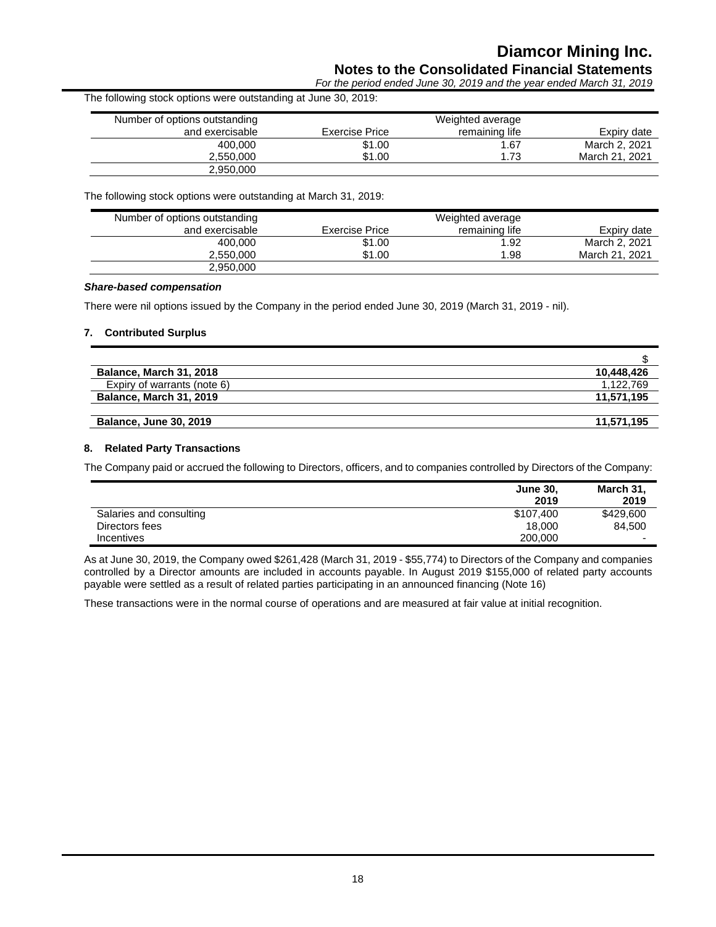## **Diamcor Mining Inc.**

### **Notes to the Consolidated Financial Statements**

*For the period ended June 30, 2019 and the year ended March 31, 2019*

| The following stock options were outstanding at June 30, 2019: |                |                  |                |
|----------------------------------------------------------------|----------------|------------------|----------------|
| Number of options outstanding                                  |                | Weighted average |                |
| and exercisable                                                | Exercise Price | remaining life   | Expiry date    |
| 400,000                                                        | \$1.00         | 1.67             | March 2, 2021  |
| 2.550.000                                                      | \$1.00         | 1.73             | March 21, 2021 |
| 2,950,000                                                      |                |                  |                |

The following stock options were outstanding at March 31, 2019:

| Number of options outstanding |                | Weighted average |                |
|-------------------------------|----------------|------------------|----------------|
| and exercisable               | Exercise Price | remaining life   | Expiry date    |
| 400.000                       | \$1.00         | 1.92             | March 2, 2021  |
| 2.550.000                     | \$1.00         | .98              | March 21, 2021 |
| 2,950,000                     |                |                  |                |

#### *Share-based compensation*

There were nil options issued by the Company in the period ended June 30, 2019 (March 31, 2019 - nil).

#### **7. Contributed Surplus**

| <b>Balance, March 31, 2018</b> | 10,448,426 |
|--------------------------------|------------|
| Expiry of warrants (note 6)    | 1.122.769  |
| <b>Balance, March 31, 2019</b> | 11.571.195 |
|                                |            |
| <b>Balance, June 30, 2019</b>  | 11,571,195 |

#### **8. Related Party Transactions**

The Company paid or accrued the following to Directors, officers, and to companies controlled by Directors of the Company:

|                         | <b>June 30,</b><br>2019 | March 31,<br>2019        |
|-------------------------|-------------------------|--------------------------|
| Salaries and consulting | \$107,400               | \$429,600                |
| Directors fees          | 18,000                  | 84,500                   |
| <b>Incentives</b>       | 200,000                 | $\overline{\phantom{0}}$ |

As at June 30, 2019, the Company owed \$261,428 (March 31, 2019 - \$55,774) to Directors of the Company and companies controlled by a Director amounts are included in accounts payable. In August 2019 \$155,000 of related party accounts payable were settled as a result of related parties participating in an announced financing (Note 16)

These transactions were in the normal course of operations and are measured at fair value at initial recognition.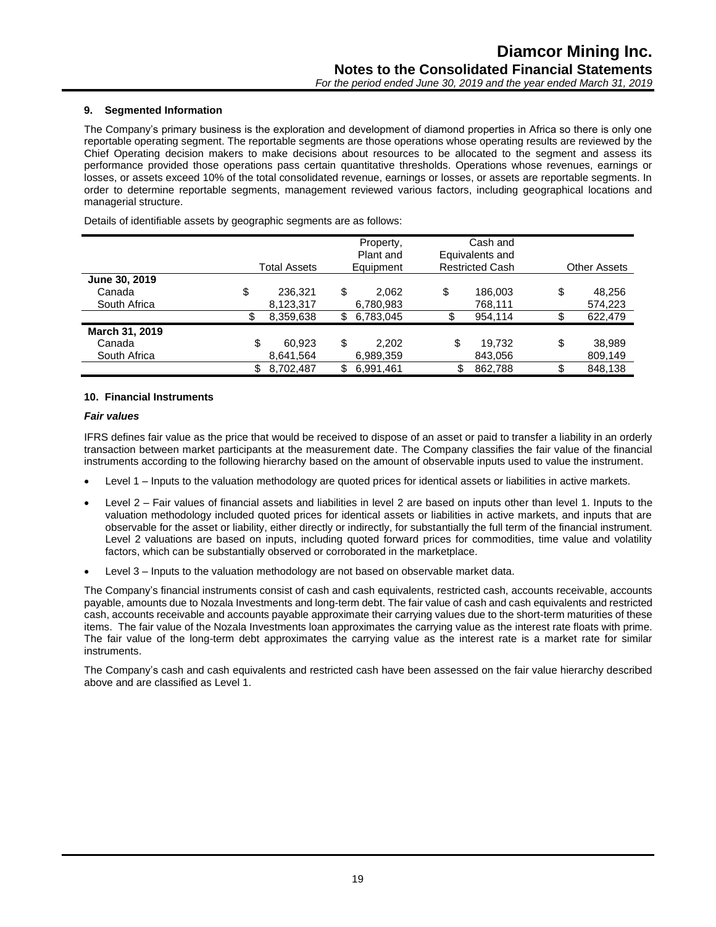#### **9. Segmented Information**

The Company's primary business is the exploration and development of diamond properties in Africa so there is only one reportable operating segment. The reportable segments are those operations whose operating results are reviewed by the Chief Operating decision makers to make decisions about resources to be allocated to the segment and assess its performance provided those operations pass certain quantitative thresholds. Operations whose revenues, earnings or losses, or assets exceed 10% of the total consolidated revenue, earnings or losses, or assets are reportable segments. In order to determine reportable segments, management reviewed various factors, including geographical locations and managerial structure.

Details of identifiable assets by geographic segments are as follows:

|                |    | <b>Total Assets</b> | Property,<br>Plant and<br>Equipment |    | Cash and<br>Equivalents and<br><b>Restricted Cash</b> |    | <b>Other Assets</b> |
|----------------|----|---------------------|-------------------------------------|----|-------------------------------------------------------|----|---------------------|
| June 30, 2019  |    |                     |                                     |    |                                                       |    |                     |
| Canada         | \$ | 236.321             | \$<br>2.062                         | \$ | 186,003                                               | \$ | 48,256              |
| South Africa   |    | 8,123,317           | 6,780,983                           |    | 768,111                                               |    | 574,223             |
|                | S  | 8,359,638           | \$<br>6,783,045                     | \$ | 954.114                                               |    | 622,479             |
| March 31, 2019 |    |                     |                                     |    |                                                       |    |                     |
| Canada         | \$ | 60.923              | \$<br>2.202                         | \$ | 19.732                                                | \$ | 38,989              |
| South Africa   |    | 8,641,564           | 6,989,359                           |    | 843,056                                               |    | 809,149             |
|                |    | 8,702,487           | \$<br>6,991,461                     |    | 862,788                                               |    | 848.138             |

#### **10. Financial Instruments**

#### *Fair values*

IFRS defines fair value as the price that would be received to dispose of an asset or paid to transfer a liability in an orderly transaction between market participants at the measurement date. The Company classifies the fair value of the financial instruments according to the following hierarchy based on the amount of observable inputs used to value the instrument.

- Level 1 Inputs to the valuation methodology are quoted prices for identical assets or liabilities in active markets.
- Level 2 Fair values of financial assets and liabilities in level 2 are based on inputs other than level 1. Inputs to the valuation methodology included quoted prices for identical assets or liabilities in active markets, and inputs that are observable for the asset or liability, either directly or indirectly, for substantially the full term of the financial instrument. Level 2 valuations are based on inputs, including quoted forward prices for commodities, time value and volatility factors, which can be substantially observed or corroborated in the marketplace.
- Level 3 Inputs to the valuation methodology are not based on observable market data.

The Company's financial instruments consist of cash and cash equivalents, restricted cash, accounts receivable, accounts payable, amounts due to Nozala Investments and long-term debt. The fair value of cash and cash equivalents and restricted cash, accounts receivable and accounts payable approximate their carrying values due to the short-term maturities of these items. The fair value of the Nozala Investments loan approximates the carrying value as the interest rate floats with prime. The fair value of the long-term debt approximates the carrying value as the interest rate is a market rate for similar instruments.

The Company's cash and cash equivalents and restricted cash have been assessed on the fair value hierarchy described above and are classified as Level 1.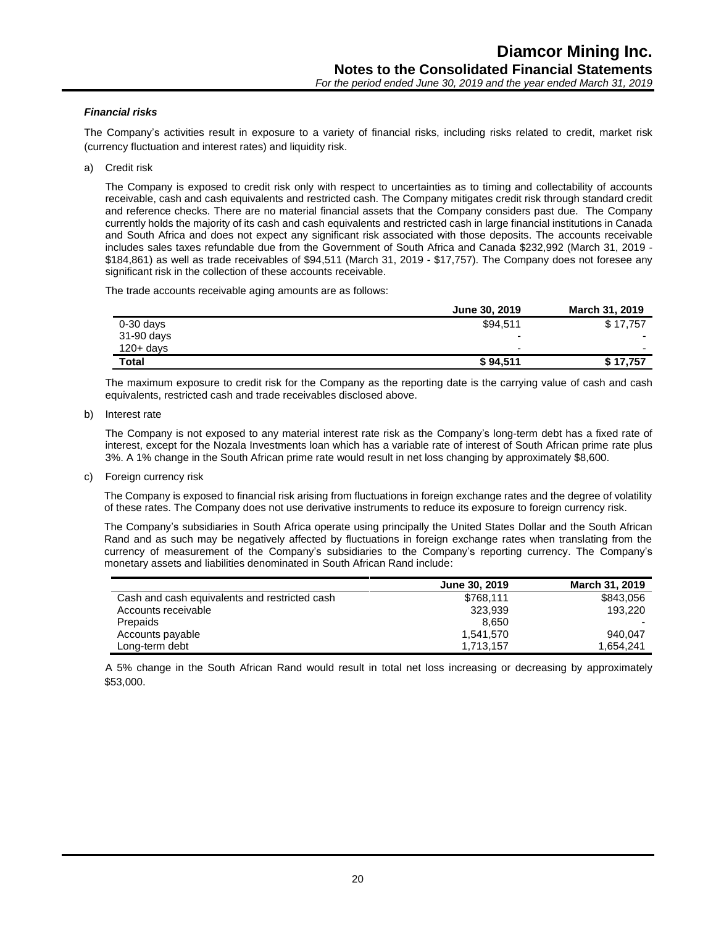#### *Financial risks*

The Company's activities result in exposure to a variety of financial risks, including risks related to credit, market risk (currency fluctuation and interest rates) and liquidity risk.

a) Credit risk

The Company is exposed to credit risk only with respect to uncertainties as to timing and collectability of accounts receivable, cash and cash equivalents and restricted cash. The Company mitigates credit risk through standard credit and reference checks. There are no material financial assets that the Company considers past due. The Company currently holds the majority of its cash and cash equivalents and restricted cash in large financial institutions in Canada and South Africa and does not expect any significant risk associated with those deposits. The accounts receivable includes sales taxes refundable due from the Government of South Africa and Canada \$232,992 (March 31, 2019 - \$184,861) as well as trade receivables of \$94,511 (March 31, 2019 - \$17,757). The Company does not foresee any significant risk in the collection of these accounts receivable.

The trade accounts receivable aging amounts are as follows:

|              | June 30, 2019            | March 31, 2019 |
|--------------|--------------------------|----------------|
| $0-30$ days  | \$94.511                 | \$17.757       |
| 31-90 days   | $\overline{\phantom{0}}$ |                |
| $120 + days$ | $\overline{\phantom{0}}$ |                |
| Total        | \$94,511                 | \$17,757       |

The maximum exposure to credit risk for the Company as the reporting date is the carrying value of cash and cash equivalents, restricted cash and trade receivables disclosed above.

b) Interest rate

The Company is not exposed to any material interest rate risk as the Company's long-term debt has a fixed rate of interest, except for the Nozala Investments loan which has a variable rate of interest of South African prime rate plus 3%. A 1% change in the South African prime rate would result in net loss changing by approximately \$8,600.

c) Foreign currency risk

The Company is exposed to financial risk arising from fluctuations in foreign exchange rates and the degree of volatility of these rates. The Company does not use derivative instruments to reduce its exposure to foreign currency risk.

The Company's subsidiaries in South Africa operate using principally the United States Dollar and the South African Rand and as such may be negatively affected by fluctuations in foreign exchange rates when translating from the currency of measurement of the Company's subsidiaries to the Company's reporting currency. The Company's monetary assets and liabilities denominated in South African Rand include:

|                                               | June 30, 2019 | March 31, 2019 |
|-----------------------------------------------|---------------|----------------|
| Cash and cash equivalents and restricted cash | \$768.111     | \$843,056      |
| Accounts receivable                           | 323.939       | 193.220        |
| Prepaids                                      | 8.650         |                |
| Accounts payable                              | 1.541.570     | 940.047        |
| Long-term debt                                | 1,713,157     | 1.654.241      |

A 5% change in the South African Rand would result in total net loss increasing or decreasing by approximately \$53,000.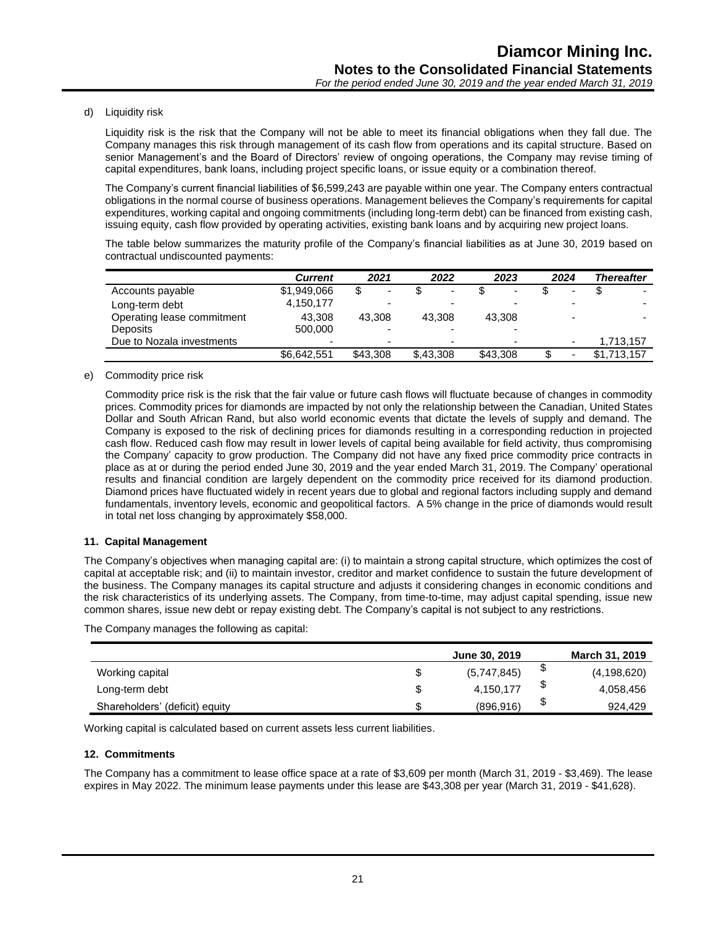d) Liquidity risk

Liquidity risk is the risk that the Company will not be able to meet its financial obligations when they fall due. The Company manages this risk through management of its cash flow from operations and its capital structure. Based on senior Management's and the Board of Directors' review of ongoing operations, the Company may revise timing of capital expenditures, bank loans, including project specific loans, or issue equity or a combination thereof.

The Company's current financial liabilities of \$6,599,243 are payable within one year. The Company enters contractual obligations in the normal course of business operations. Management believes the Company's requirements for capital expenditures, working capital and ongoing commitments (including long-term debt) can be financed from existing cash, issuing equity, cash flow provided by operating activities, existing bank loans and by acquiring new project loans.

The table below summarizes the maturity profile of the Company's financial liabilities as at June 30, 2019 based on contractual undiscounted payments:

|                            | <b>Current</b> | 2021                     | 2022                     | 2023                     | 2024 | <b>Thereafter</b>        |
|----------------------------|----------------|--------------------------|--------------------------|--------------------------|------|--------------------------|
| Accounts payable           | \$1,949,066    | $\overline{\phantom{0}}$ | $\overline{\phantom{0}}$ | $\overline{\phantom{0}}$ |      |                          |
| Long-term debt             | 4,150,177      | $\overline{\phantom{0}}$ | -                        |                          |      | $\overline{\phantom{0}}$ |
| Operating lease commitment | 43.308         | 43.308                   | 43.308                   | 43.308                   |      |                          |
| Deposits                   | 500,000        |                          |                          |                          |      |                          |
| Due to Nozala investments  |                | $\overline{\phantom{0}}$ | -                        |                          |      | 1,713,157                |
|                            | \$6.642,551    | \$43,308                 | \$,43,308                | \$43,308                 |      | \$1,713,157              |

e) Commodity price risk

Commodity price risk is the risk that the fair value or future cash flows will fluctuate because of changes in commodity prices. Commodity prices for diamonds are impacted by not only the relationship between the Canadian, United States Dollar and South African Rand, but also world economic events that dictate the levels of supply and demand. The Company is exposed to the risk of declining prices for diamonds resulting in a corresponding reduction in projected cash flow. Reduced cash flow may result in lower levels of capital being available for field activity, thus compromising the Company' capacity to grow production. The Company did not have any fixed price commodity price contracts in place as at or during the period ended June 30, 2019 and the year ended March 31, 2019. The Company' operational results and financial condition are largely dependent on the commodity price received for its diamond production. Diamond prices have fluctuated widely in recent years due to global and regional factors including supply and demand fundamentals, inventory levels, economic and geopolitical factors. A 5% change in the price of diamonds would result in total net loss changing by approximately \$58,000.

#### **11. Capital Management**

The Company's objectives when managing capital are: (i) to maintain a strong capital structure, which optimizes the cost of capital at acceptable risk; and (ii) to maintain investor, creditor and market confidence to sustain the future development of the business. The Company manages its capital structure and adjusts it considering changes in economic conditions and the risk characteristics of its underlying assets. The Company, from time-to-time, may adjust capital spending, issue new common shares, issue new debt or repay existing debt. The Company's capital is not subject to any restrictions.

The Company manages the following as capital:

|                                |   | June 30, 2019 |    | <b>March 31, 2019</b> |
|--------------------------------|---|---------------|----|-----------------------|
| Working capital                | S | (5,747,845)   | จ  | (4, 198, 620)         |
| Long-term debt                 |   | 4,150,177     | \$ | 4,058,456             |
| Shareholders' (deficit) equity |   | (896, 916)    | \$ | 924.429               |

Working capital is calculated based on current assets less current liabilities.

#### **12. Commitments**

The Company has a commitment to lease office space at a rate of \$3,609 per month (March 31, 2019 - \$3,469). The lease expires in May 2022. The minimum lease payments under this lease are \$43,308 per year (March 31, 2019 - \$41,628).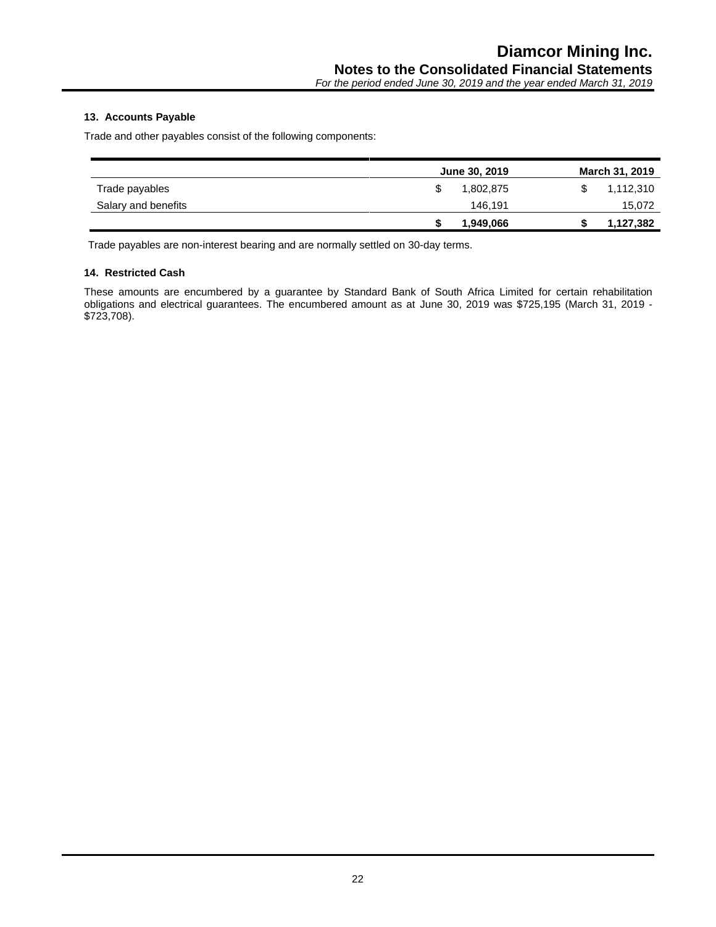#### **13. Accounts Payable**

Trade and other payables consist of the following components:

|                     | June 30, 2019 | <b>March 31, 2019</b> |
|---------------------|---------------|-----------------------|
| Trade payables      | 1.802.875     | 1,112,310             |
| Salary and benefits | 146.191       | 15,072                |
|                     | 1,949,066     | 1,127,382             |

Trade payables are non-interest bearing and are normally settled on 30-day terms.

#### **14. Restricted Cash**

These amounts are encumbered by a guarantee by Standard Bank of South Africa Limited for certain rehabilitation obligations and electrical guarantees. The encumbered amount as at June 30, 2019 was \$725,195 (March 31, 2019 - \$723,708).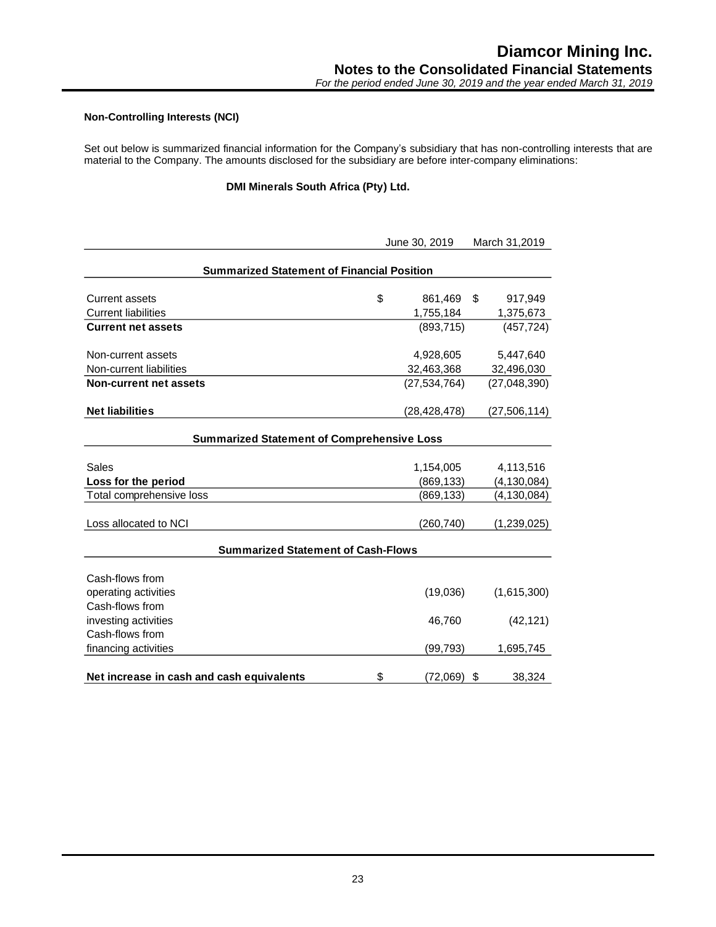#### **Non-Controlling Interests (NCI)**

Set out below is summarized financial information for the Company's subsidiary that has non-controlling interests that are material to the Company. The amounts disclosed for the subsidiary are before inter-company eliminations:

#### **DMI Minerals South Africa (Pty) Ltd.**

|                                                   |    | June 30, 2019 |    | March 31,2019  |  |
|---------------------------------------------------|----|---------------|----|----------------|--|
| <b>Summarized Statement of Financial Position</b> |    |               |    |                |  |
| <b>Current assets</b>                             | \$ | 861,469       | \$ | 917,949        |  |
| <b>Current liabilities</b>                        |    | 1,755,184     |    | 1,375,673      |  |
| <b>Current net assets</b>                         |    | (893, 715)    |    | (457, 724)     |  |
| Non-current assets                                |    | 4,928,605     |    | 5,447,640      |  |
| Non-current liabilities                           |    | 32,463,368    |    | 32,496,030     |  |
| <b>Non-current net assets</b>                     |    | (27.534.764)  |    | (27,048,390)   |  |
| <b>Net liabilities</b>                            |    | (28,428,478)  |    | (27, 506, 114) |  |
| <b>Summarized Statement of Comprehensive Loss</b> |    |               |    |                |  |
|                                                   |    |               |    |                |  |
| Sales                                             |    | 1,154,005     |    | 4,113,516      |  |
| Loss for the period                               |    | (869, 133)    |    | (4, 130, 084)  |  |
| Total comprehensive loss                          |    | (869, 133)    |    | (4, 130, 084)  |  |
| Loss allocated to NCI                             |    | (260, 740)    |    | (1,239,025)    |  |
| <b>Summarized Statement of Cash-Flows</b>         |    |               |    |                |  |
|                                                   |    |               |    |                |  |
| Cash-flows from                                   |    |               |    |                |  |
| operating activities                              |    | (19,036)      |    | (1,615,300)    |  |
| Cash-flows from                                   |    |               |    |                |  |
| investing activities                              |    | 46,760        |    | (42, 121)      |  |
| Cash-flows from                                   |    |               |    |                |  |
| financing activities                              |    | (99, 793)     |    | 1,695,745      |  |
| Net increase in cash and cash equivalents         | \$ | (72,069)      | \$ | 38,324         |  |